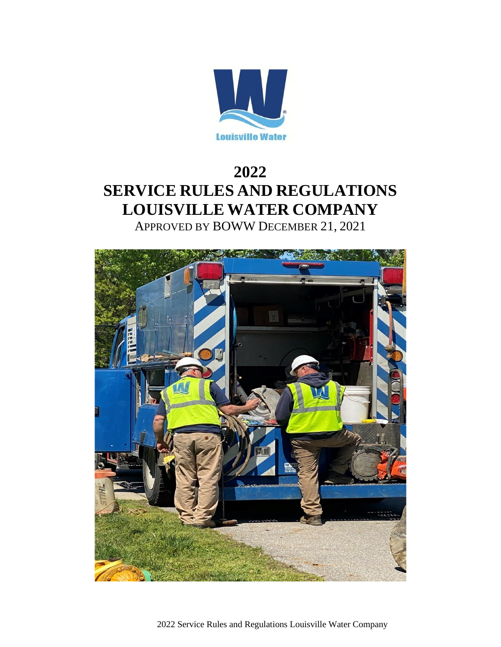

# **2022 SERVICE RULES AND REGULATIONS LOUISVILLE WATER COMPANY**

APPROVED BY BOWW DECEMBER 21, 2021



2022 Service Rules and Regulations Louisville Water Company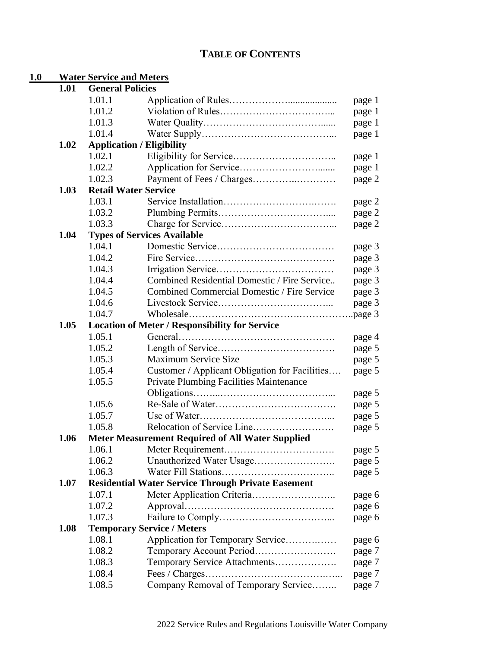# **TABLE OF CONTENTS**

# **1.0 Water Service and Meters**

| 1.01 | <b>General Policies</b>                     |                                                           |        |  |
|------|---------------------------------------------|-----------------------------------------------------------|--------|--|
|      | 1.01.1                                      |                                                           | page 1 |  |
|      | 1.01.2                                      |                                                           | page 1 |  |
|      | 1.01.3                                      |                                                           | page 1 |  |
|      | 1.01.4                                      |                                                           | page 1 |  |
| 1.02 |                                             | <b>Application / Eligibility</b>                          |        |  |
|      | 1.02.1                                      |                                                           | page 1 |  |
|      | 1.02.2                                      |                                                           | page 1 |  |
|      | 1.02.3                                      |                                                           | page 2 |  |
| 1.03 |                                             | <b>Retail Water Service</b>                               |        |  |
|      | 1.03.1                                      |                                                           | page 2 |  |
|      | 1.03.2                                      |                                                           | page 2 |  |
|      | 1.03.3                                      |                                                           | page 2 |  |
| 1.04 |                                             | <b>Types of Services Available</b>                        |        |  |
|      | 1.04.1                                      |                                                           | page 3 |  |
|      | 1.04.2                                      |                                                           | page 3 |  |
|      | 1.04.3                                      |                                                           | page 3 |  |
|      | 1.04.4                                      | Combined Residential Domestic / Fire Service              | page 3 |  |
|      | 1.04.5                                      | <b>Combined Commercial Domestic / Fire Service</b>        | page 3 |  |
|      | 1.04.6                                      |                                                           | page 3 |  |
|      | 1.04.7                                      |                                                           |        |  |
| 1.05 |                                             | <b>Location of Meter / Responsibility for Service</b>     |        |  |
|      | 1.05.1                                      |                                                           | page 4 |  |
|      | 1.05.2                                      |                                                           | page 5 |  |
|      | 1.05.3                                      | <b>Maximum Service Size</b>                               | page 5 |  |
|      | 1.05.4                                      | Customer / Applicant Obligation for Facilities            | page 5 |  |
|      | 1.05.5                                      | Private Plumbing Facilities Maintenance                   |        |  |
|      |                                             |                                                           | page 5 |  |
|      | 1.05.6                                      |                                                           | page 5 |  |
|      | 1.05.7                                      |                                                           | page 5 |  |
|      | 1.05.8                                      |                                                           | page 5 |  |
| 1.06 |                                             | <b>Meter Measurement Required of All Water Supplied</b>   |        |  |
|      | 1.06.1                                      |                                                           | page 5 |  |
|      | 1.06.2                                      | Unauthorized Water Usage                                  | page 5 |  |
|      | 1.06.3                                      |                                                           | page 5 |  |
| 1.07 |                                             | <b>Residential Water Service Through Private Easement</b> |        |  |
|      | 1.07.1                                      |                                                           |        |  |
|      | 1.07.2                                      |                                                           | page 6 |  |
|      | 1.07.3                                      |                                                           | page 6 |  |
| 1.08 |                                             |                                                           | page 6 |  |
|      | <b>Temporary Service / Meters</b><br>1.08.1 |                                                           |        |  |
|      |                                             | Application for Temporary Service                         | page 6 |  |
|      | 1.08.2                                      | Temporary Account Period                                  | page 7 |  |
|      | 1.08.3                                      | Temporary Service Attachments                             | page 7 |  |
|      | 1.08.4                                      |                                                           | page 7 |  |
|      | 1.08.5                                      | Company Removal of Temporary Service                      | page 7 |  |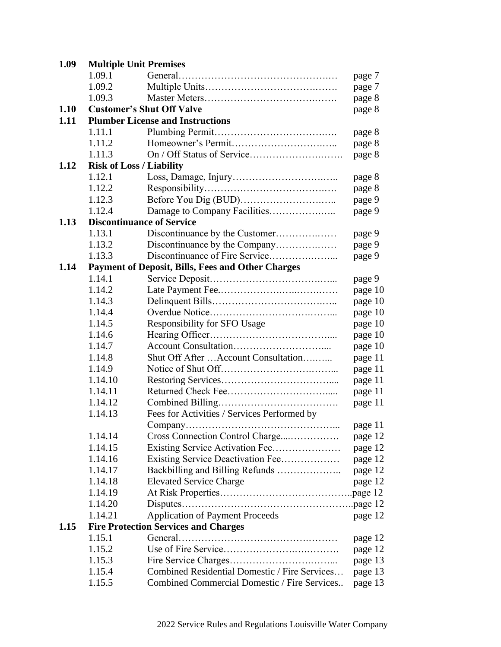| 1.09.1 |                                                                                                                                                                                                                                                                                                                                                    | page 7                                                                                                                                                                                                                                                                                                                                                                                                                                                                                                                                                                                                                                                        |
|--------|----------------------------------------------------------------------------------------------------------------------------------------------------------------------------------------------------------------------------------------------------------------------------------------------------------------------------------------------------|---------------------------------------------------------------------------------------------------------------------------------------------------------------------------------------------------------------------------------------------------------------------------------------------------------------------------------------------------------------------------------------------------------------------------------------------------------------------------------------------------------------------------------------------------------------------------------------------------------------------------------------------------------------|
| 1.09.2 |                                                                                                                                                                                                                                                                                                                                                    | page 7                                                                                                                                                                                                                                                                                                                                                                                                                                                                                                                                                                                                                                                        |
| 1.09.3 |                                                                                                                                                                                                                                                                                                                                                    | page 8                                                                                                                                                                                                                                                                                                                                                                                                                                                                                                                                                                                                                                                        |
|        |                                                                                                                                                                                                                                                                                                                                                    | page 8                                                                                                                                                                                                                                                                                                                                                                                                                                                                                                                                                                                                                                                        |
|        |                                                                                                                                                                                                                                                                                                                                                    |                                                                                                                                                                                                                                                                                                                                                                                                                                                                                                                                                                                                                                                               |
| 1.11.1 |                                                                                                                                                                                                                                                                                                                                                    | page 8                                                                                                                                                                                                                                                                                                                                                                                                                                                                                                                                                                                                                                                        |
| 1.11.2 |                                                                                                                                                                                                                                                                                                                                                    | page 8                                                                                                                                                                                                                                                                                                                                                                                                                                                                                                                                                                                                                                                        |
|        |                                                                                                                                                                                                                                                                                                                                                    | page 8                                                                                                                                                                                                                                                                                                                                                                                                                                                                                                                                                                                                                                                        |
|        |                                                                                                                                                                                                                                                                                                                                                    |                                                                                                                                                                                                                                                                                                                                                                                                                                                                                                                                                                                                                                                               |
|        |                                                                                                                                                                                                                                                                                                                                                    | page 8                                                                                                                                                                                                                                                                                                                                                                                                                                                                                                                                                                                                                                                        |
|        |                                                                                                                                                                                                                                                                                                                                                    | page 8                                                                                                                                                                                                                                                                                                                                                                                                                                                                                                                                                                                                                                                        |
|        |                                                                                                                                                                                                                                                                                                                                                    | page 9                                                                                                                                                                                                                                                                                                                                                                                                                                                                                                                                                                                                                                                        |
|        |                                                                                                                                                                                                                                                                                                                                                    | page 9                                                                                                                                                                                                                                                                                                                                                                                                                                                                                                                                                                                                                                                        |
|        |                                                                                                                                                                                                                                                                                                                                                    |                                                                                                                                                                                                                                                                                                                                                                                                                                                                                                                                                                                                                                                               |
|        |                                                                                                                                                                                                                                                                                                                                                    | page 9                                                                                                                                                                                                                                                                                                                                                                                                                                                                                                                                                                                                                                                        |
|        |                                                                                                                                                                                                                                                                                                                                                    | page 9                                                                                                                                                                                                                                                                                                                                                                                                                                                                                                                                                                                                                                                        |
|        |                                                                                                                                                                                                                                                                                                                                                    | page 9                                                                                                                                                                                                                                                                                                                                                                                                                                                                                                                                                                                                                                                        |
|        |                                                                                                                                                                                                                                                                                                                                                    |                                                                                                                                                                                                                                                                                                                                                                                                                                                                                                                                                                                                                                                               |
|        |                                                                                                                                                                                                                                                                                                                                                    | page 9                                                                                                                                                                                                                                                                                                                                                                                                                                                                                                                                                                                                                                                        |
|        |                                                                                                                                                                                                                                                                                                                                                    | page 10                                                                                                                                                                                                                                                                                                                                                                                                                                                                                                                                                                                                                                                       |
|        |                                                                                                                                                                                                                                                                                                                                                    | page 10                                                                                                                                                                                                                                                                                                                                                                                                                                                                                                                                                                                                                                                       |
|        |                                                                                                                                                                                                                                                                                                                                                    | page 10                                                                                                                                                                                                                                                                                                                                                                                                                                                                                                                                                                                                                                                       |
|        |                                                                                                                                                                                                                                                                                                                                                    | page 10                                                                                                                                                                                                                                                                                                                                                                                                                                                                                                                                                                                                                                                       |
|        |                                                                                                                                                                                                                                                                                                                                                    | page 10                                                                                                                                                                                                                                                                                                                                                                                                                                                                                                                                                                                                                                                       |
|        |                                                                                                                                                                                                                                                                                                                                                    | page 10                                                                                                                                                                                                                                                                                                                                                                                                                                                                                                                                                                                                                                                       |
|        |                                                                                                                                                                                                                                                                                                                                                    | page 11                                                                                                                                                                                                                                                                                                                                                                                                                                                                                                                                                                                                                                                       |
|        |                                                                                                                                                                                                                                                                                                                                                    | page 11                                                                                                                                                                                                                                                                                                                                                                                                                                                                                                                                                                                                                                                       |
|        |                                                                                                                                                                                                                                                                                                                                                    | page 11                                                                                                                                                                                                                                                                                                                                                                                                                                                                                                                                                                                                                                                       |
|        |                                                                                                                                                                                                                                                                                                                                                    | page 11                                                                                                                                                                                                                                                                                                                                                                                                                                                                                                                                                                                                                                                       |
|        |                                                                                                                                                                                                                                                                                                                                                    | page 11                                                                                                                                                                                                                                                                                                                                                                                                                                                                                                                                                                                                                                                       |
|        |                                                                                                                                                                                                                                                                                                                                                    | page 11                                                                                                                                                                                                                                                                                                                                                                                                                                                                                                                                                                                                                                                       |
|        |                                                                                                                                                                                                                                                                                                                                                    | page 12                                                                                                                                                                                                                                                                                                                                                                                                                                                                                                                                                                                                                                                       |
|        |                                                                                                                                                                                                                                                                                                                                                    | page 12                                                                                                                                                                                                                                                                                                                                                                                                                                                                                                                                                                                                                                                       |
|        |                                                                                                                                                                                                                                                                                                                                                    | page 12                                                                                                                                                                                                                                                                                                                                                                                                                                                                                                                                                                                                                                                       |
|        |                                                                                                                                                                                                                                                                                                                                                    | page 12                                                                                                                                                                                                                                                                                                                                                                                                                                                                                                                                                                                                                                                       |
|        |                                                                                                                                                                                                                                                                                                                                                    | page 12                                                                                                                                                                                                                                                                                                                                                                                                                                                                                                                                                                                                                                                       |
|        |                                                                                                                                                                                                                                                                                                                                                    |                                                                                                                                                                                                                                                                                                                                                                                                                                                                                                                                                                                                                                                               |
|        |                                                                                                                                                                                                                                                                                                                                                    |                                                                                                                                                                                                                                                                                                                                                                                                                                                                                                                                                                                                                                                               |
|        |                                                                                                                                                                                                                                                                                                                                                    | page 12                                                                                                                                                                                                                                                                                                                                                                                                                                                                                                                                                                                                                                                       |
|        |                                                                                                                                                                                                                                                                                                                                                    |                                                                                                                                                                                                                                                                                                                                                                                                                                                                                                                                                                                                                                                               |
|        |                                                                                                                                                                                                                                                                                                                                                    | page 12                                                                                                                                                                                                                                                                                                                                                                                                                                                                                                                                                                                                                                                       |
|        |                                                                                                                                                                                                                                                                                                                                                    | page 12                                                                                                                                                                                                                                                                                                                                                                                                                                                                                                                                                                                                                                                       |
|        |                                                                                                                                                                                                                                                                                                                                                    | page 13                                                                                                                                                                                                                                                                                                                                                                                                                                                                                                                                                                                                                                                       |
|        |                                                                                                                                                                                                                                                                                                                                                    | page 13                                                                                                                                                                                                                                                                                                                                                                                                                                                                                                                                                                                                                                                       |
| 1.15.5 | Combined Commercial Domestic / Fire Services                                                                                                                                                                                                                                                                                                       | page 13                                                                                                                                                                                                                                                                                                                                                                                                                                                                                                                                                                                                                                                       |
|        | 1.11.3<br>1.12.1<br>1.12.2<br>1.12.3<br>1.12.4<br>1.13.1<br>1.13.2<br>1.13.3<br>1.14.1<br>1.14.2<br>1.14.3<br>1.14.4<br>1.14.5<br>1.14.6<br>1.14.7<br>1.14.8<br>1.14.9<br>1.14.10<br>1.14.11<br>1.14.12<br>1.14.13<br>1.14.14<br>1.14.15<br>1.14.16<br>1.14.17<br>1.14.18<br>1.14.19<br>1.14.20<br>1.14.21<br>1.15.1<br>1.15.2<br>1.15.3<br>1.15.4 | <b>Multiple Unit Premises</b><br><b>Customer's Shut Off Valve</b><br><b>Plumber License and Instructions</b><br><b>Risk of Loss / Liability</b><br><b>Discontinuance of Service</b><br><b>Payment of Deposit, Bills, Fees and Other Charges</b><br>Responsibility for SFO Usage<br>Shut Off After  Account Consultation<br>Fees for Activities / Services Performed by<br>Cross Connection Control Charge<br>Existing Service Deactivation Fee<br>Backbilling and Billing Refunds<br><b>Elevated Service Charge</b><br><b>Application of Payment Proceeds</b><br><b>Fire Protection Services and Charges</b><br>Combined Residential Domestic / Fire Services |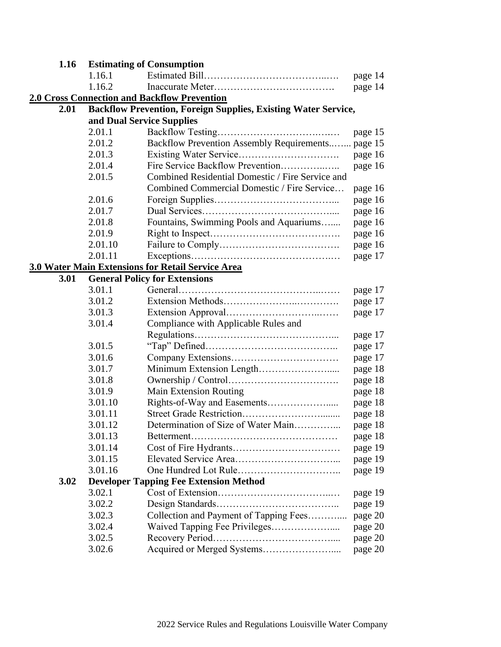| 1.16                                                     | <b>Estimating of Consumption</b> |                                                                       |         |
|----------------------------------------------------------|----------------------------------|-----------------------------------------------------------------------|---------|
|                                                          | 1.16.1                           |                                                                       | page 14 |
|                                                          | 1.16.2                           |                                                                       | page 14 |
|                                                          |                                  | <b>2.0 Cross Connection and Backflow Prevention</b>                   |         |
| 2.01                                                     |                                  | <b>Backflow Prevention, Foreign Supplies, Existing Water Service,</b> |         |
|                                                          | and Dual Service Supplies        |                                                                       |         |
|                                                          | 2.01.1                           |                                                                       | page 15 |
|                                                          | 2.01.2                           | Backflow Prevention Assembly Requirements page 15                     |         |
|                                                          | 2.01.3                           |                                                                       | page 16 |
|                                                          | 2.01.4                           | Fire Service Backflow Prevention                                      | page 16 |
|                                                          | 2.01.5                           | Combined Residential Domestic / Fire Service and                      |         |
|                                                          |                                  | Combined Commercial Domestic / Fire Service                           | page 16 |
|                                                          | 2.01.6                           |                                                                       | page 16 |
|                                                          | 2.01.7                           |                                                                       | page 16 |
|                                                          | 2.01.8                           | Fountains, Swimming Pools and Aquariums                               | page 16 |
|                                                          | 2.01.9                           |                                                                       | page 16 |
|                                                          | 2.01.10                          |                                                                       | page 16 |
|                                                          | 2.01.11                          |                                                                       | page 17 |
| <b>3.0 Water Main Extensions for Retail Service Area</b> |                                  |                                                                       |         |
| 3.01                                                     |                                  | <b>General Policy for Extensions</b>                                  |         |
|                                                          | 3.01.1                           |                                                                       | page 17 |
|                                                          | 3.01.2                           |                                                                       | page 17 |
|                                                          | 3.01.3                           |                                                                       | page 17 |
|                                                          | 3.01.4                           | Compliance with Applicable Rules and                                  |         |
|                                                          |                                  |                                                                       | page 17 |
|                                                          | 3.01.5                           |                                                                       | page 17 |
|                                                          | 3.01.6                           |                                                                       | page 17 |
|                                                          | 3.01.7                           |                                                                       | page 18 |
|                                                          | 3.01.8                           |                                                                       | page 18 |
|                                                          | 3.01.9                           | <b>Main Extension Routing</b>                                         | page 18 |
|                                                          | 3.01.10                          |                                                                       | page 18 |
|                                                          | 3.01.11                          |                                                                       | page 18 |
|                                                          | 3.01.12                          | Determination of Size of Water Main                                   | page 18 |
|                                                          | 3.01.13                          |                                                                       | page 18 |
|                                                          | 3.01.14                          |                                                                       | page 19 |
|                                                          | 3.01.15                          |                                                                       | page 19 |
|                                                          | 3.01.16                          |                                                                       | page 19 |
| 3.02                                                     |                                  | <b>Developer Tapping Fee Extension Method</b>                         |         |
|                                                          | 3.02.1                           |                                                                       | page 19 |
|                                                          | 3.02.2                           |                                                                       | page 19 |
|                                                          | 3.02.3                           | Collection and Payment of Tapping Fees                                | page 20 |
|                                                          | 3.02.4                           |                                                                       | page 20 |
|                                                          | 3.02.5                           |                                                                       | page 20 |
|                                                          | 3.02.6                           |                                                                       | page 20 |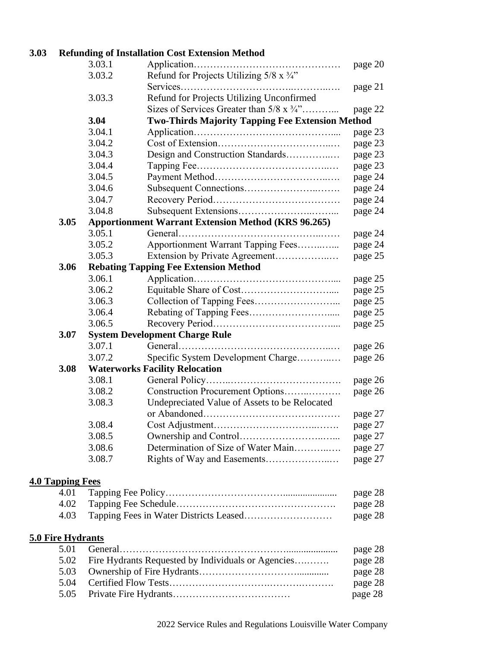## **3.03 Refunding of Installation Cost Extension Method**

|                          | 3.03.1                                                     |                                                         | page 20 |  |
|--------------------------|------------------------------------------------------------|---------------------------------------------------------|---------|--|
|                          | 3.03.2                                                     | Refund for Projects Utilizing $5/8 \times 3/4$ "        |         |  |
|                          |                                                            |                                                         | page 21 |  |
|                          | 3.03.3                                                     | Refund for Projects Utilizing Unconfirmed               |         |  |
|                          |                                                            | Sizes of Services Greater than $5/8 \times 3/4$ "       | page 22 |  |
|                          | 3.04                                                       | <b>Two-Thirds Majority Tapping Fee Extension Method</b> |         |  |
|                          | 3.04.1                                                     |                                                         | page 23 |  |
|                          | 3.04.2                                                     |                                                         | page 23 |  |
|                          | 3.04.3                                                     | Design and Construction Standards                       | page 23 |  |
|                          | 3.04.4                                                     |                                                         | page 23 |  |
|                          | 3.04.5                                                     |                                                         | page 24 |  |
|                          | 3.04.6                                                     |                                                         | page 24 |  |
|                          | 3.04.7                                                     |                                                         | page 24 |  |
|                          | 3.04.8                                                     |                                                         | page 24 |  |
| 3.05                     | <b>Apportionment Warrant Extension Method (KRS 96.265)</b> |                                                         |         |  |
|                          | 3.05.1                                                     |                                                         | page 24 |  |
|                          | 3.05.2                                                     | Apportionment Warrant Tapping Fees                      | page 24 |  |
|                          | 3.05.3                                                     |                                                         | page 25 |  |
| 3.06                     |                                                            | <b>Rebating Tapping Fee Extension Method</b>            |         |  |
|                          | 3.06.1                                                     |                                                         | page 25 |  |
|                          | 3.06.2                                                     |                                                         | page 25 |  |
|                          | 3.06.3                                                     |                                                         | page 25 |  |
|                          | 3.06.4                                                     |                                                         | page 25 |  |
|                          | 3.06.5                                                     |                                                         | page 25 |  |
| 3.07                     | <b>System Development Charge Rule</b>                      |                                                         |         |  |
|                          | 3.07.1                                                     |                                                         | page 26 |  |
|                          | 3.07.2                                                     | Specific System Development Charge                      | page 26 |  |
| 3.08                     |                                                            | <b>Waterworks Facility Relocation</b>                   |         |  |
|                          | 3.08.1                                                     |                                                         | page 26 |  |
|                          | 3.08.2                                                     | Construction Procurement Options                        | page 26 |  |
|                          | 3.08.3                                                     | Undepreciated Value of Assets to be Relocated           |         |  |
|                          |                                                            |                                                         | page 27 |  |
|                          | 3.08.4                                                     |                                                         | page 27 |  |
|                          | 3.08.5                                                     |                                                         | page 27 |  |
|                          | 3.08.6                                                     | Determination of Size of Water Main                     | page 27 |  |
|                          | 3.08.7                                                     |                                                         | page 27 |  |
| <b>4.0 Tapping Fees</b>  |                                                            |                                                         |         |  |
| 4.01                     |                                                            |                                                         | page 28 |  |
| 4.02                     |                                                            |                                                         | page 28 |  |
| 4.03                     |                                                            |                                                         | page 28 |  |
| <b>5.0 Fire Hydrants</b> |                                                            |                                                         |         |  |
| 5.01                     |                                                            |                                                         | page 28 |  |
| 5.02                     | Fire Hydrants Requested by Individuals or Agencies         |                                                         | page 28 |  |
| 5.03                     |                                                            |                                                         | page 28 |  |
| 5.04                     |                                                            |                                                         | page 28 |  |

5.05 Private Fire Hydrants……………………………… page 28

2022 Service Rules and Regulations Louisville Water Company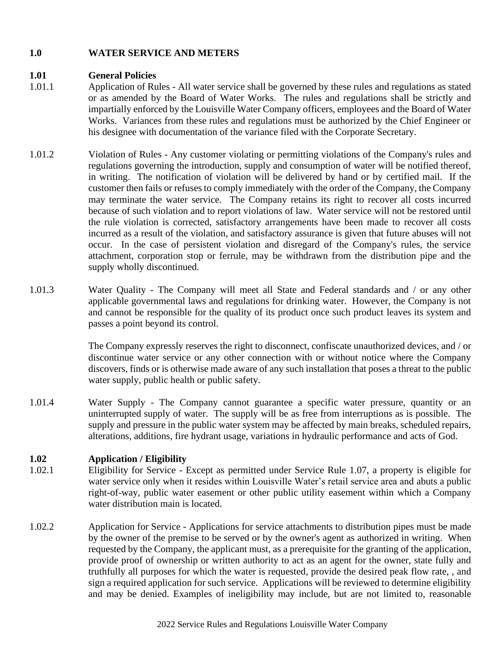## **1.0 WATER SERVICE AND METERS**

#### **1.01 General Policies**

- 1.01.1 Application of Rules All water service shall be governed by these rules and regulations as stated or as amended by the Board of Water Works. The rules and regulations shall be strictly and impartially enforced by the Louisville Water Company officers, employees and the Board of Water Works. Variances from these rules and regulations must be authorized by the Chief Engineer or his designee with documentation of the variance filed with the Corporate Secretary.
- 1.01.2 Violation of Rules Any customer violating or permitting violations of the Company's rules and regulations governing the introduction, supply and consumption of water will be notified thereof, in writing. The notification of violation will be delivered by hand or by certified mail. If the customer then fails or refuses to comply immediately with the order of the Company, the Company may terminate the water service. The Company retains its right to recover all costs incurred because of such violation and to report violations of law. Water service will not be restored until the rule violation is corrected, satisfactory arrangements have been made to recover all costs incurred as a result of the violation, and satisfactory assurance is given that future abuses will not occur. In the case of persistent violation and disregard of the Company's rules, the service attachment, corporation stop or ferrule, may be withdrawn from the distribution pipe and the supply wholly discontinued.
- 1.01.3 Water Quality The Company will meet all State and Federal standards and / or any other applicable governmental laws and regulations for drinking water. However, the Company is not and cannot be responsible for the quality of its product once such product leaves its system and passes a point beyond its control.

The Company expressly reserves the right to disconnect, confiscate unauthorized devices, and / or discontinue water service or any other connection with or without notice where the Company discovers, finds or is otherwise made aware of any such installation that poses a threat to the public water supply, public health or public safety.

1.01.4 Water Supply - The Company cannot guarantee a specific water pressure, quantity or an uninterrupted supply of water. The supply will be as free from interruptions as is possible. The supply and pressure in the public water system may be affected by main breaks, scheduled repairs, alterations, additions, fire hydrant usage, variations in hydraulic performance and acts of God.

## **1.02 Application / Eligibility**

- 1.02.1 Eligibility for Service Except as permitted under Service Rule 1.07, a property is eligible for water service only when it resides within Louisville Water's retail service area and abuts a public right-of-way, public water easement or other public utility easement within which a Company water distribution main is located.
- 1.02.2 Application for Service Applications for service attachments to distribution pipes must be made by the owner of the premise to be served or by the owner's agent as authorized in writing. When requested by the Company, the applicant must, as a prerequisite for the granting of the application, provide proof of ownership or written authority to act as an agent for the owner, state fully and truthfully all purposes for which the water is requested, provide the desired peak flow rate, , and sign a required application for such service. Applications will be reviewed to determine eligibility and may be denied. Examples of ineligibility may include, but are not limited to, reasonable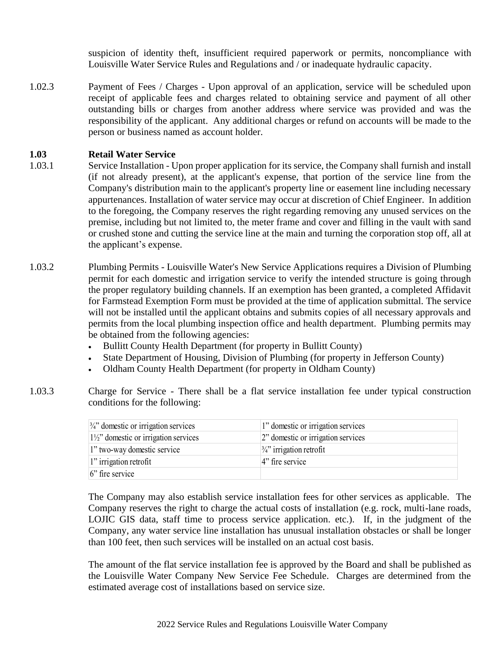suspicion of identity theft, insufficient required paperwork or permits, noncompliance with Louisville Water Service Rules and Regulations and / or inadequate hydraulic capacity.

1.02.3 Payment of Fees / Charges - Upon approval of an application, service will be scheduled upon receipt of applicable fees and charges related to obtaining service and payment of all other outstanding bills or charges from another address where service was provided and was the responsibility of the applicant. Any additional charges or refund on accounts will be made to the person or business named as account holder.

#### **1.03 Retail Water Service**

- 1.03.1 Service Installation Upon proper application for its service, the Company shall furnish and install (if not already present), at the applicant's expense, that portion of the service line from the Company's distribution main to the applicant's property line or easement line including necessary appurtenances. Installation of water service may occur at discretion of Chief Engineer. In addition to the foregoing, the Company reserves the right regarding removing any unused services on the premise, including but not limited to, the meter frame and cover and filling in the vault with sand or crushed stone and cutting the service line at the main and turning the corporation stop off, all at the applicant's expense.
- 1.03.2 Plumbing Permits Louisville Water's New Service Applications requires a Division of Plumbing permit for each domestic and irrigation service to verify the intended structure is going through the proper regulatory building channels. If an exemption has been granted, a completed Affidavit for Farmstead Exemption Form must be provided at the time of application submittal. The service will not be installed until the applicant obtains and submits copies of all necessary approvals and permits from the local plumbing inspection office and health department. Plumbing permits may be obtained from the following agencies:
	- Bullitt County Health Department (for property in Bullitt County)
	- State Department of Housing, Division of Plumbing (for property in Jefferson County)
	- Oldham County Health Department (for property in Oldham County)
- 1.03.3 Charge for Service There shall be a flat service installation fee under typical construction conditions for the following:

| $\frac{3}{4}$ domestic or irrigation services   | 1" domestic or irrigation services  |
|-------------------------------------------------|-------------------------------------|
| $ 1\frac{1}{2}$ domestic or irrigation services | 2" domestic or irrigation services  |
| 1" two-way domestic service                     | $\frac{3}{4}$ " irrigation retrofit |
| $\vert$ 1" irrigation retrofit                  | $4$ " fire service                  |
| $ 6$ " fire service                             |                                     |

The Company may also establish service installation fees for other services as applicable. The Company reserves the right to charge the actual costs of installation (e.g. rock, multi-lane roads, LOJIC GIS data, staff time to process service application. etc.). If, in the judgment of the Company, any water service line installation has unusual installation obstacles or shall be longer than 100 feet, then such services will be installed on an actual cost basis.

The amount of the flat service installation fee is approved by the Board and shall be published as the Louisville Water Company New Service Fee Schedule. Charges are determined from the estimated average cost of installations based on service size.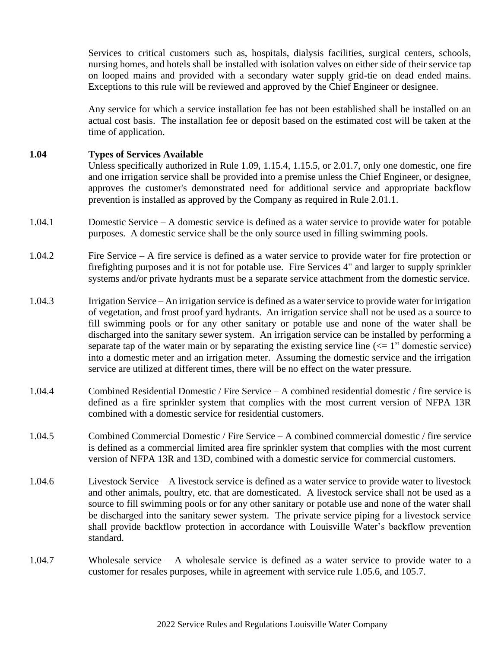Services to critical customers such as, hospitals, dialysis facilities, surgical centers, schools, nursing homes, and hotels shall be installed with isolation valves on either side of their service tap on looped mains and provided with a secondary water supply grid-tie on dead ended mains. Exceptions to this rule will be reviewed and approved by the Chief Engineer or designee.

Any service for which a service installation fee has not been established shall be installed on an actual cost basis. The installation fee or deposit based on the estimated cost will be taken at the time of application.

#### **1.04 Types of Services Available**

Unless specifically authorized in Rule 1.09, 1.15.4, 1.15.5, or 2.01.7, only one domestic, one fire and one irrigation service shall be provided into a premise unless the Chief Engineer, or designee, approves the customer's demonstrated need for additional service and appropriate backflow prevention is installed as approved by the Company as required in Rule 2.01.1.

- 1.04.1 Domestic Service A domestic service is defined as a water service to provide water for potable purposes. A domestic service shall be the only source used in filling swimming pools.
- 1.04.2 Fire Service A fire service is defined as a water service to provide water for fire protection or firefighting purposes and it is not for potable use. Fire Services 4" and larger to supply sprinkler systems and/or private hydrants must be a separate service attachment from the domestic service.
- 1.04.3 Irrigation Service An irrigation service is defined as a water service to provide water for irrigation of vegetation, and frost proof yard hydrants. An irrigation service shall not be used as a source to fill swimming pools or for any other sanitary or potable use and none of the water shall be discharged into the sanitary sewer system. An irrigation service can be installed by performing a separate tap of the water main or by separating the existing service line  $\ll$  1" domestic service) into a domestic meter and an irrigation meter. Assuming the domestic service and the irrigation service are utilized at different times, there will be no effect on the water pressure.
- 1.04.4 Combined Residential Domestic / Fire Service A combined residential domestic / fire service is defined as a fire sprinkler system that complies with the most current version of NFPA 13R combined with a domestic service for residential customers.
- 1.04.5 Combined Commercial Domestic / Fire Service A combined commercial domestic / fire service is defined as a commercial limited area fire sprinkler system that complies with the most current version of NFPA 13R and 13D, combined with a domestic service for commercial customers.
- 1.04.6 Livestock Service A livestock service is defined as a water service to provide water to livestock and other animals, poultry, etc. that are domesticated. A livestock service shall not be used as a source to fill swimming pools or for any other sanitary or potable use and none of the water shall be discharged into the sanitary sewer system. The private service piping for a livestock service shall provide backflow protection in accordance with Louisville Water's backflow prevention standard.
- 1.04.7 Wholesale service A wholesale service is defined as a water service to provide water to a customer for resales purposes, while in agreement with service rule 1.05.6, and 105.7.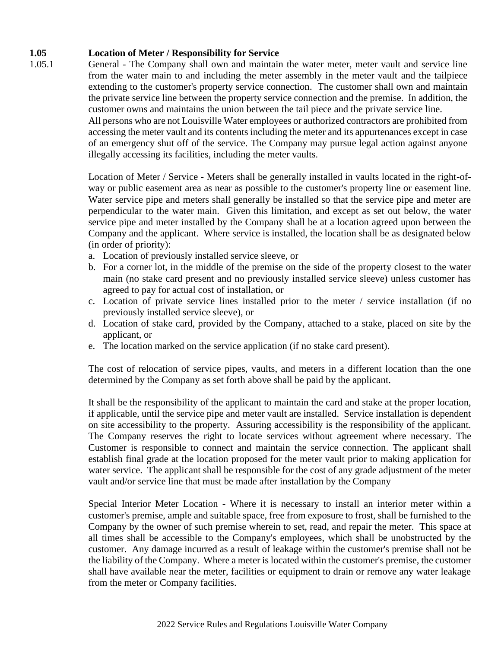## **1.05 Location of Meter / Responsibility for Service**

1.05.1 General - The Company shall own and maintain the water meter, meter vault and service line from the water main to and including the meter assembly in the meter vault and the tailpiece extending to the customer's property service connection. The customer shall own and maintain the private service line between the property service connection and the premise. In addition, the customer owns and maintains the union between the tail piece and the private service line. All persons who are not Louisville Water employees or authorized contractors are prohibited from

accessing the meter vault and its contents including the meter and its appurtenances except in case of an emergency shut off of the service. The Company may pursue legal action against anyone illegally accessing its facilities, including the meter vaults.

Location of Meter / Service - Meters shall be generally installed in vaults located in the right-ofway or public easement area as near as possible to the customer's property line or easement line. Water service pipe and meters shall generally be installed so that the service pipe and meter are perpendicular to the water main. Given this limitation, and except as set out below, the water service pipe and meter installed by the Company shall be at a location agreed upon between the Company and the applicant. Where service is installed, the location shall be as designated below (in order of priority):

- a. Location of previously installed service sleeve, or
- b. For a corner lot, in the middle of the premise on the side of the property closest to the water main (no stake card present and no previously installed service sleeve) unless customer has agreed to pay for actual cost of installation, or
- c. Location of private service lines installed prior to the meter / service installation (if no previously installed service sleeve), or
- d. Location of stake card, provided by the Company, attached to a stake, placed on site by the applicant, or
- e. The location marked on the service application (if no stake card present).

The cost of relocation of service pipes, vaults, and meters in a different location than the one determined by the Company as set forth above shall be paid by the applicant.

It shall be the responsibility of the applicant to maintain the card and stake at the proper location, if applicable, until the service pipe and meter vault are installed. Service installation is dependent on site accessibility to the property. Assuring accessibility is the responsibility of the applicant. The Company reserves the right to locate services without agreement where necessary. The Customer is responsible to connect and maintain the service connection. The applicant shall establish final grade at the location proposed for the meter vault prior to making application for water service. The applicant shall be responsible for the cost of any grade adjustment of the meter vault and/or service line that must be made after installation by the Company

Special Interior Meter Location - Where it is necessary to install an interior meter within a customer's premise, ample and suitable space, free from exposure to frost, shall be furnished to the Company by the owner of such premise wherein to set, read, and repair the meter. This space at all times shall be accessible to the Company's employees, which shall be unobstructed by the customer. Any damage incurred as a result of leakage within the customer's premise shall not be the liability of the Company. Where a meter is located within the customer's premise, the customer shall have available near the meter, facilities or equipment to drain or remove any water leakage from the meter or Company facilities.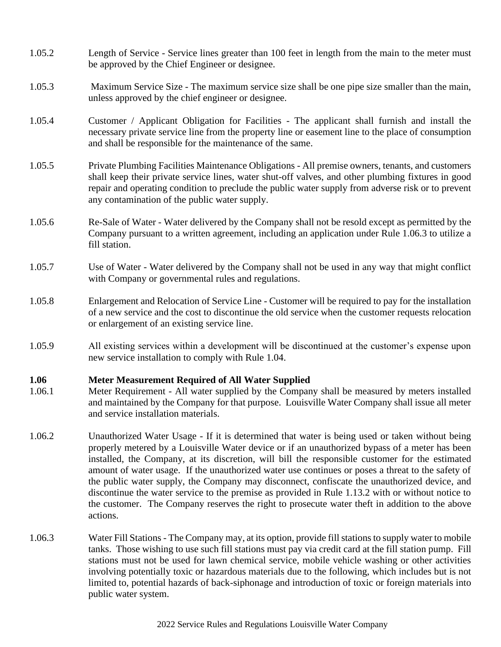- 1.05.2 Length of Service Service lines greater than 100 feet in length from the main to the meter must be approved by the Chief Engineer or designee.
- 1.05.3 Maximum Service Size The maximum service size shall be one pipe size smaller than the main, unless approved by the chief engineer or designee.
- 1.05.4 Customer / Applicant Obligation for Facilities The applicant shall furnish and install the necessary private service line from the property line or easement line to the place of consumption and shall be responsible for the maintenance of the same.
- 1.05.5 Private Plumbing Facilities Maintenance Obligations All premise owners, tenants, and customers shall keep their private service lines, water shut-off valves, and other plumbing fixtures in good repair and operating condition to preclude the public water supply from adverse risk or to prevent any contamination of the public water supply.
- 1.05.6 Re-Sale of Water Water delivered by the Company shall not be resold except as permitted by the Company pursuant to a written agreement, including an application under Rule 1.06.3 to utilize a fill station.
- 1.05.7 Use of Water Water delivered by the Company shall not be used in any way that might conflict with Company or governmental rules and regulations.
- 1.05.8 Enlargement and Relocation of Service Line Customer will be required to pay for the installation of a new service and the cost to discontinue the old service when the customer requests relocation or enlargement of an existing service line.
- 1.05.9 All existing services within a development will be discontinued at the customer's expense upon new service installation to comply with Rule 1.04.

#### **1.06 Meter Measurement Required of All Water Supplied**

- 1.06.1 Meter Requirement All water supplied by the Company shall be measured by meters installed and maintained by the Company for that purpose. Louisville Water Company shall issue all meter and service installation materials.
- 1.06.2 Unauthorized Water Usage If it is determined that water is being used or taken without being properly metered by a Louisville Water device or if an unauthorized bypass of a meter has been installed, the Company, at its discretion, will bill the responsible customer for the estimated amount of water usage. If the unauthorized water use continues or poses a threat to the safety of the public water supply, the Company may disconnect, confiscate the unauthorized device, and discontinue the water service to the premise as provided in Rule 1.13.2 with or without notice to the customer. The Company reserves the right to prosecute water theft in addition to the above actions.
- 1.06.3 Water Fill Stations The Company may, at its option, provide fill stations to supply water to mobile tanks. Those wishing to use such fill stations must pay via credit card at the fill station pump. Fill stations must not be used for lawn chemical service, mobile vehicle washing or other activities involving potentially toxic or hazardous materials due to the following, which includes but is not limited to, potential hazards of back-siphonage and introduction of toxic or foreign materials into public water system.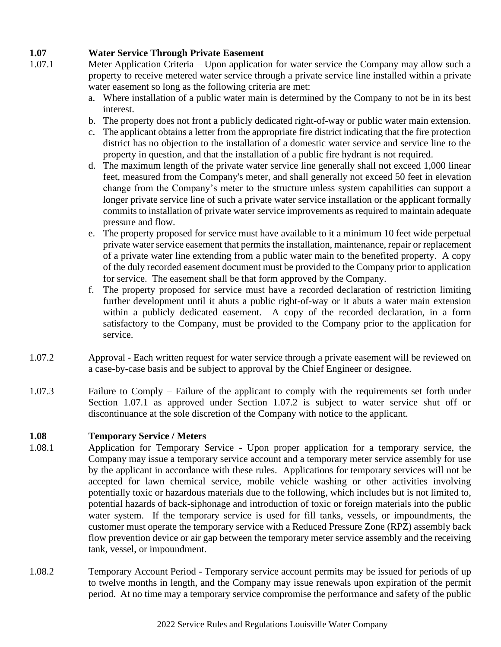## **1.07 Water Service Through Private Easement**

- 1.07.1 Meter Application Criteria Upon application for water service the Company may allow such a property to receive metered water service through a private service line installed within a private water easement so long as the following criteria are met:
	- a. Where installation of a public water main is determined by the Company to not be in its best interest.
	- b. The property does not front a publicly dedicated right-of-way or public water main extension.
	- c. The applicant obtains a letter from the appropriate fire district indicating that the fire protection district has no objection to the installation of a domestic water service and service line to the property in question, and that the installation of a public fire hydrant is not required.
	- d. The maximum length of the private water service line generally shall not exceed 1,000 linear feet, measured from the Company's meter, and shall generally not exceed 50 feet in elevation change from the Company's meter to the structure unless system capabilities can support a longer private service line of such a private water service installation or the applicant formally commits to installation of private water service improvements as required to maintain adequate pressure and flow.
	- e. The property proposed for service must have available to it a minimum 10 feet wide perpetual private water service easement that permits the installation, maintenance, repair or replacement of a private water line extending from a public water main to the benefited property. A copy of the duly recorded easement document must be provided to the Company prior to application for service. The easement shall be that form approved by the Company.
	- f. The property proposed for service must have a recorded declaration of restriction limiting further development until it abuts a public right-of-way or it abuts a water main extension within a publicly dedicated easement. A copy of the recorded declaration, in a form satisfactory to the Company, must be provided to the Company prior to the application for service.
- 1.07.2 Approval Each written request for water service through a private easement will be reviewed on a case-by-case basis and be subject to approval by the Chief Engineer or designee.
- 1.07.3 Failure to Comply Failure of the applicant to comply with the requirements set forth under Section 1.07.1 as approved under Section 1.07.2 is subject to water service shut off or discontinuance at the sole discretion of the Company with notice to the applicant.

## **1.08 Temporary Service / Meters**

- 1.08.1 Application for Temporary Service Upon proper application for a temporary service, the Company may issue a temporary service account and a temporary meter service assembly for use by the applicant in accordance with these rules. Applications for temporary services will not be accepted for lawn chemical service, mobile vehicle washing or other activities involving potentially toxic or hazardous materials due to the following, which includes but is not limited to, potential hazards of back-siphonage and introduction of toxic or foreign materials into the public water system. If the temporary service is used for fill tanks, vessels, or impoundments, the customer must operate the temporary service with a Reduced Pressure Zone (RPZ) assembly back flow prevention device or air gap between the temporary meter service assembly and the receiving tank, vessel, or impoundment.
- 1.08.2 Temporary Account Period Temporary service account permits may be issued for periods of up to twelve months in length, and the Company may issue renewals upon expiration of the permit period. At no time may a temporary service compromise the performance and safety of the public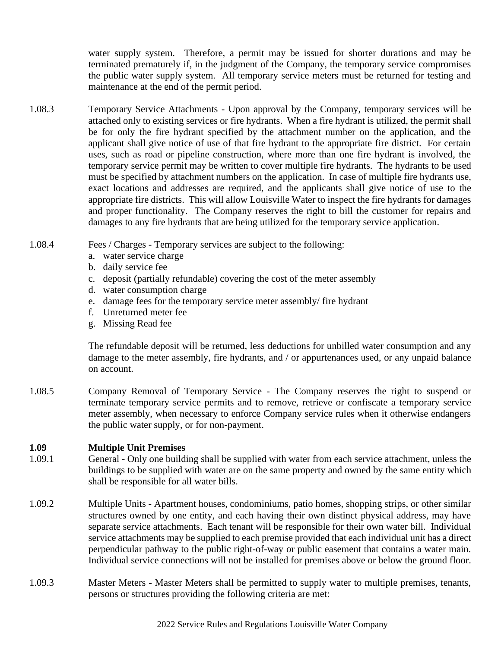water supply system. Therefore, a permit may be issued for shorter durations and may be terminated prematurely if, in the judgment of the Company, the temporary service compromises the public water supply system. All temporary service meters must be returned for testing and maintenance at the end of the permit period.

- 1.08.3 Temporary Service Attachments Upon approval by the Company, temporary services will be attached only to existing services or fire hydrants. When a fire hydrant is utilized, the permit shall be for only the fire hydrant specified by the attachment number on the application, and the applicant shall give notice of use of that fire hydrant to the appropriate fire district. For certain uses, such as road or pipeline construction, where more than one fire hydrant is involved, the temporary service permit may be written to cover multiple fire hydrants. The hydrants to be used must be specified by attachment numbers on the application. In case of multiple fire hydrants use, exact locations and addresses are required, and the applicants shall give notice of use to the appropriate fire districts. This will allow Louisville Water to inspect the fire hydrants for damages and proper functionality. The Company reserves the right to bill the customer for repairs and damages to any fire hydrants that are being utilized for the temporary service application.
- 1.08.4 Fees / Charges Temporary services are subject to the following:
	- a. water service charge
	- b. daily service fee
	- c. deposit (partially refundable) covering the cost of the meter assembly
	- d. water consumption charge
	- e. damage fees for the temporary service meter assembly/ fire hydrant
	- f. Unreturned meter fee
	- g. Missing Read fee

The refundable deposit will be returned, less deductions for unbilled water consumption and any damage to the meter assembly, fire hydrants, and / or appurtenances used, or any unpaid balance on account.

1.08.5 Company Removal of Temporary Service - The Company reserves the right to suspend or terminate temporary service permits and to remove, retrieve or confiscate a temporary service meter assembly, when necessary to enforce Company service rules when it otherwise endangers the public water supply, or for non-payment.

#### **1.09 Multiple Unit Premises**

- 1.09.1 General Only one building shall be supplied with water from each service attachment, unless the buildings to be supplied with water are on the same property and owned by the same entity which shall be responsible for all water bills.
- 1.09.2 Multiple Units Apartment houses, condominiums, patio homes, shopping strips, or other similar structures owned by one entity, and each having their own distinct physical address, may have separate service attachments. Each tenant will be responsible for their own water bill. Individual service attachments may be supplied to each premise provided that each individual unit has a direct perpendicular pathway to the public right-of-way or public easement that contains a water main. Individual service connections will not be installed for premises above or below the ground floor.
- 1.09.3 Master Meters Master Meters shall be permitted to supply water to multiple premises, tenants, persons or structures providing the following criteria are met: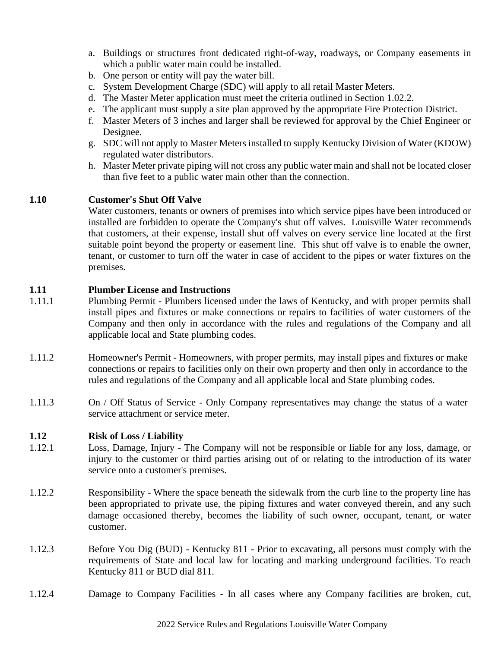- a. Buildings or structures front dedicated right-of-way, roadways, or Company easements in which a public water main could be installed.
- b. One person or entity will pay the water bill.
- c. System Development Charge (SDC) will apply to all retail Master Meters.
- d. The Master Meter application must meet the criteria outlined in Section 1.02.2.
- e. The applicant must supply a site plan approved by the appropriate Fire Protection District.
- f. Master Meters of 3 inches and larger shall be reviewed for approval by the Chief Engineer or Designee.
- g. SDC will not apply to Master Meters installed to supply Kentucky Division of Water (KDOW) regulated water distributors.
- h. Master Meter private piping will not cross any public water main and shall not be located closer than five feet to a public water main other than the connection.

## **1.10 Customer's Shut Off Valve**

Water customers, tenants or owners of premises into which service pipes have been introduced or installed are forbidden to operate the Company's shut off valves. Louisville Water recommends that customers, at their expense, install shut off valves on every service line located at the first suitable point beyond the property or easement line. This shut off valve is to enable the owner, tenant, or customer to turn off the water in case of accident to the pipes or water fixtures on the premises.

#### **1.11 Plumber License and Instructions**

- 1.11.1 Plumbing Permit Plumbers licensed under the laws of Kentucky, and with proper permits shall install pipes and fixtures or make connections or repairs to facilities of water customers of the Company and then only in accordance with the rules and regulations of the Company and all applicable local and State plumbing codes.
- 1.11.2 Homeowner's Permit Homeowners, with proper permits, may install pipes and fixtures or make connections or repairs to facilities only on their own property and then only in accordance to the rules and regulations of the Company and all applicable local and State plumbing codes.
- 1.11.3 On / Off Status of Service Only Company representatives may change the status of a water service attachment or service meter.

#### **1.12 Risk of Loss / Liability**

- 1.12.1 Loss, Damage, Injury The Company will not be responsible or liable for any loss, damage, or injury to the customer or third parties arising out of or relating to the introduction of its water service onto a customer's premises.
- 1.12.2 Responsibility Where the space beneath the sidewalk from the curb line to the property line has been appropriated to private use, the piping fixtures and water conveyed therein, and any such damage occasioned thereby, becomes the liability of such owner, occupant, tenant, or water customer.
- 1.12.3 Before You Dig (BUD) Kentucky 811 Prior to excavating, all persons must comply with the requirements of State and local law for locating and marking underground facilities. To reach Kentucky 811 or BUD dial 811.
- 1.12.4 Damage to Company Facilities In all cases where any Company facilities are broken, cut,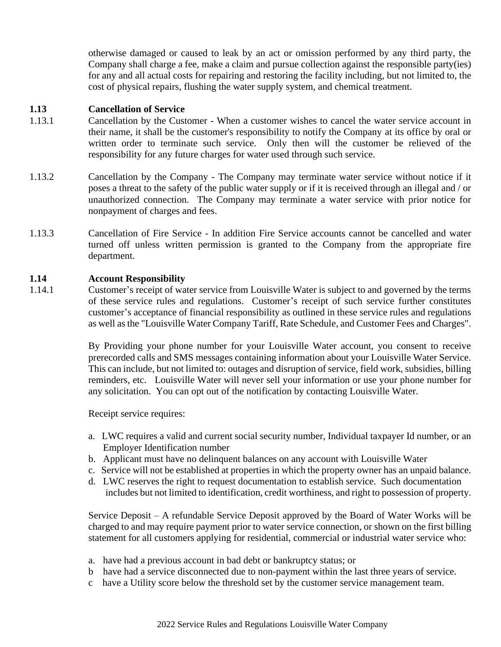otherwise damaged or caused to leak by an act or omission performed by any third party, the Company shall charge a fee, make a claim and pursue collection against the responsible party(ies) for any and all actual costs for repairing and restoring the facility including, but not limited to, the cost of physical repairs, flushing the water supply system, and chemical treatment.

#### **1.13 Cancellation of Service**

- 1.13.1 Cancellation by the Customer When a customer wishes to cancel the water service account in their name, it shall be the customer's responsibility to notify the Company at its office by oral or written order to terminate such service. Only then will the customer be relieved of the responsibility for any future charges for water used through such service.
- 1.13.2 Cancellation by the Company The Company may terminate water service without notice if it poses a threat to the safety of the public water supply or if it is received through an illegal and / or unauthorized connection. The Company may terminate a water service with prior notice for nonpayment of charges and fees.
- 1.13.3 Cancellation of Fire Service In addition Fire Service accounts cannot be cancelled and water turned off unless written permission is granted to the Company from the appropriate fire department.

## **1.14 Account Responsibility**

1.14.1 Customer's receipt of water service from Louisville Water is subject to and governed by the terms of these service rules and regulations. Customer's receipt of such service further constitutes customer's acceptance of financial responsibility as outlined in these service rules and regulations as well as the "Louisville Water Company Tariff, Rate Schedule, and Customer Fees and Charges".

> By Providing your phone number for your Louisville Water account, you consent to receive prerecorded calls and SMS messages containing information about your Louisville Water Service. This can include, but not limited to: outages and disruption of service, field work, subsidies, billing reminders, etc. Louisville Water will never sell your information or use your phone number for any solicitation. You can opt out of the notification by contacting Louisville Water.

Receipt service requires:

- a. LWC requires a valid and current social security number, Individual taxpayer Id number, or an Employer Identification number
- b. Applicant must have no delinquent balances on any account with Louisville Water
- c. Service will not be established at properties in which the property owner has an unpaid balance.
- d. LWC reserves the right to request documentation to establish service. Such documentation includes but not limited to identification, credit worthiness, and right to possession of property.

Service Deposit – A refundable Service Deposit approved by the Board of Water Works will be charged to and may require payment prior to water service connection, or shown on the first billing statement for all customers applying for residential, commercial or industrial water service who:

- a. have had a previous account in bad debt or bankruptcy status; or
- b have had a service disconnected due to non-payment within the last three years of service.
- c have a Utility score below the threshold set by the customer service management team.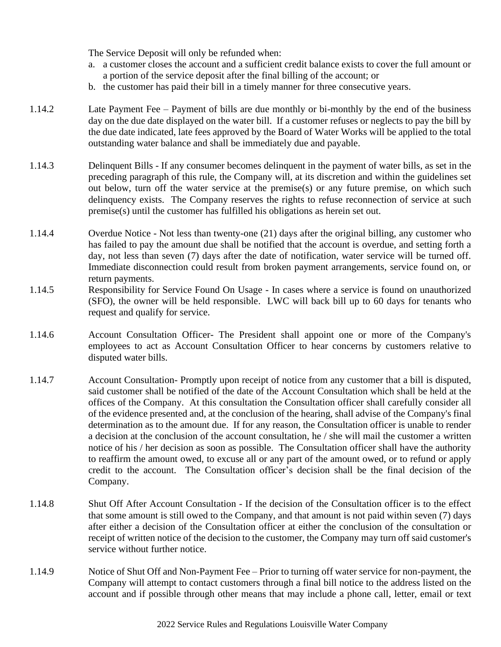The Service Deposit will only be refunded when:

- a. a customer closes the account and a sufficient credit balance exists to cover the full amount or a portion of the service deposit after the final billing of the account; or
- b. the customer has paid their bill in a timely manner for three consecutive years.
- 1.14.2 Late Payment Fee Payment of bills are due monthly or bi-monthly by the end of the business day on the due date displayed on the water bill. If a customer refuses or neglects to pay the bill by the due date indicated, late fees approved by the Board of Water Works will be applied to the total outstanding water balance and shall be immediately due and payable.
- 1.14.3 Delinquent Bills If any consumer becomes delinquent in the payment of water bills, as set in the preceding paragraph of this rule, the Company will, at its discretion and within the guidelines set out below, turn off the water service at the premise(s) or any future premise, on which such delinquency exists. The Company reserves the rights to refuse reconnection of service at such premise(s) until the customer has fulfilled his obligations as herein set out.
- 1.14.4 Overdue Notice Not less than twenty-one (21) days after the original billing, any customer who has failed to pay the amount due shall be notified that the account is overdue, and setting forth a day, not less than seven (7) days after the date of notification, water service will be turned off. Immediate disconnection could result from broken payment arrangements, service found on, or return payments.
- 1.14.5 Responsibility for Service Found On Usage In cases where a service is found on unauthorized (SFO), the owner will be held responsible. LWC will back bill up to 60 days for tenants who request and qualify for service.
- 1.14.6 Account Consultation Officer- The President shall appoint one or more of the Company's employees to act as Account Consultation Officer to hear concerns by customers relative to disputed water bills.
- 1.14.7 Account Consultation- Promptly upon receipt of notice from any customer that a bill is disputed, said customer shall be notified of the date of the Account Consultation which shall be held at the offices of the Company. At this consultation the Consultation officer shall carefully consider all of the evidence presented and, at the conclusion of the hearing, shall advise of the Company's final determination as to the amount due. If for any reason, the Consultation officer is unable to render a decision at the conclusion of the account consultation, he / she will mail the customer a written notice of his / her decision as soon as possible. The Consultation officer shall have the authority to reaffirm the amount owed, to excuse all or any part of the amount owed, or to refund or apply credit to the account. The Consultation officer's decision shall be the final decision of the Company.
- 1.14.8 Shut Off After Account Consultation If the decision of the Consultation officer is to the effect that some amount is still owed to the Company, and that amount is not paid within seven (7) days after either a decision of the Consultation officer at either the conclusion of the consultation or receipt of written notice of the decision to the customer, the Company may turn off said customer's service without further notice.
- 1.14.9 Notice of Shut Off and Non-Payment Fee Prior to turning off water service for non-payment, the Company will attempt to contact customers through a final bill notice to the address listed on the account and if possible through other means that may include a phone call, letter, email or text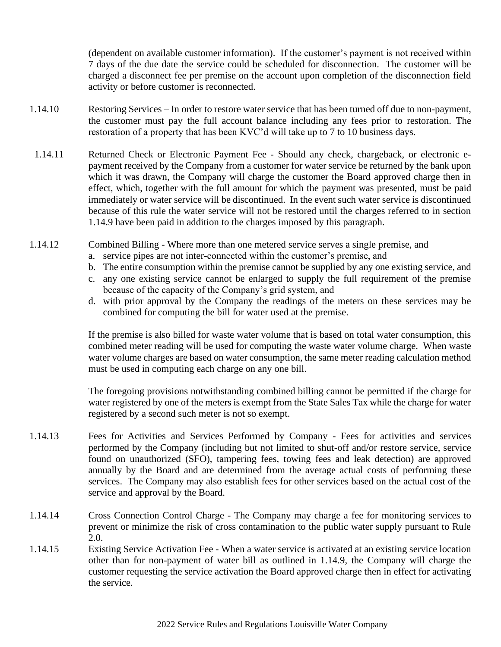(dependent on available customer information). If the customer's payment is not received within 7 days of the due date the service could be scheduled for disconnection. The customer will be charged a disconnect fee per premise on the account upon completion of the disconnection field activity or before customer is reconnected.

- 1.14.10 Restoring Services In order to restore water service that has been turned off due to non-payment, the customer must pay the full account balance including any fees prior to restoration. The restoration of a property that has been KVC'd will take up to 7 to 10 business days.
- 1.14.11 Returned Check or Electronic Payment Fee Should any check, chargeback, or electronic epayment received by the Company from a customer for water service be returned by the bank upon which it was drawn, the Company will charge the customer the Board approved charge then in effect, which, together with the full amount for which the payment was presented, must be paid immediately or water service will be discontinued. In the event such water service is discontinued because of this rule the water service will not be restored until the charges referred to in section 1.14.9 have been paid in addition to the charges imposed by this paragraph.
- 1.14.12 Combined Billing Where more than one metered service serves a single premise, and
	- a. service pipes are not inter-connected within the customer's premise, and
	- b. The entire consumption within the premise cannot be supplied by any one existing service, and
	- c. any one existing service cannot be enlarged to supply the full requirement of the premise because of the capacity of the Company's grid system, and
	- d. with prior approval by the Company the readings of the meters on these services may be combined for computing the bill for water used at the premise.

If the premise is also billed for waste water volume that is based on total water consumption, this combined meter reading will be used for computing the waste water volume charge. When waste water volume charges are based on water consumption, the same meter reading calculation method must be used in computing each charge on any one bill.

The foregoing provisions notwithstanding combined billing cannot be permitted if the charge for water registered by one of the meters is exempt from the State Sales Tax while the charge for water registered by a second such meter is not so exempt.

- 1.14.13 Fees for Activities and Services Performed by Company Fees for activities and services performed by the Company (including but not limited to shut-off and/or restore service, service found on unauthorized (SFO), tampering fees, towing fees and leak detection) are approved annually by the Board and are determined from the average actual costs of performing these services. The Company may also establish fees for other services based on the actual cost of the service and approval by the Board.
- 1.14.14 Cross Connection Control Charge The Company may charge a fee for monitoring services to prevent or minimize the risk of cross contamination to the public water supply pursuant to Rule 2.0.
- 1.14.15 Existing Service Activation Fee When a water service is activated at an existing service location other than for non-payment of water bill as outlined in 1.14.9, the Company will charge the customer requesting the service activation the Board approved charge then in effect for activating the service.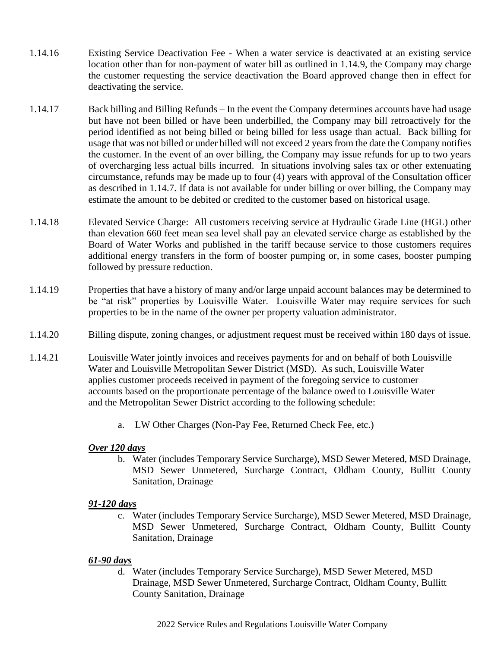- 1.14.16 Existing Service Deactivation Fee When a water service is deactivated at an existing service location other than for non-payment of water bill as outlined in 1.14.9, the Company may charge the customer requesting the service deactivation the Board approved change then in effect for deactivating the service.
- 1.14.17 Back billing and Billing Refunds In the event the Company determines accounts have had usage but have not been billed or have been underbilled, the Company may bill retroactively for the period identified as not being billed or being billed for less usage than actual. Back billing for usage that was not billed or under billed will not exceed 2 years from the date the Company notifies the customer. In the event of an over billing, the Company may issue refunds for up to two years of overcharging less actual bills incurred. In situations involving sales tax or other extenuating circumstance, refunds may be made up to four (4) years with approval of the Consultation officer as described in 1.14.7. If data is not available for under billing or over billing, the Company may estimate the amount to be debited or credited to the customer based on historical usage.
- 1.14.18 Elevated Service Charge: All customers receiving service at Hydraulic Grade Line (HGL) other than elevation 660 feet mean sea level shall pay an elevated service charge as established by the Board of Water Works and published in the tariff because service to those customers requires additional energy transfers in the form of booster pumping or, in some cases, booster pumping followed by pressure reduction.
- 1.14.19 Properties that have a history of many and/or large unpaid account balances may be determined to be "at risk" properties by Louisville Water. Louisville Water may require services for such properties to be in the name of the owner per property valuation administrator.
- 1.14.20 Billing dispute, zoning changes, or adjustment request must be received within 180 days of issue.
- 1.14.21 Louisville Water jointly invoices and receives payments for and on behalf of both Louisville Water and Louisville Metropolitan Sewer District (MSD). As such, Louisville Water applies customer proceeds received in payment of the foregoing service to customer accounts based on the proportionate percentage of the balance owed to Louisville Water and the Metropolitan Sewer District according to the following schedule:
	- a. LW Other Charges (Non-Pay Fee, Returned Check Fee, etc.)

#### *Over 120 days*

b. Water (includes Temporary Service Surcharge), MSD Sewer Metered, MSD Drainage, MSD Sewer Unmetered, Surcharge Contract, Oldham County, Bullitt County Sanitation, Drainage

#### *91-120 days*

c. Water (includes Temporary Service Surcharge), MSD Sewer Metered, MSD Drainage, MSD Sewer Unmetered, Surcharge Contract, Oldham County, Bullitt County Sanitation, Drainage

## *61-90 days*

d. Water (includes Temporary Service Surcharge), MSD Sewer Metered, MSD Drainage, MSD Sewer Unmetered, Surcharge Contract, Oldham County, Bullitt County Sanitation, Drainage

2022 Service Rules and Regulations Louisville Water Company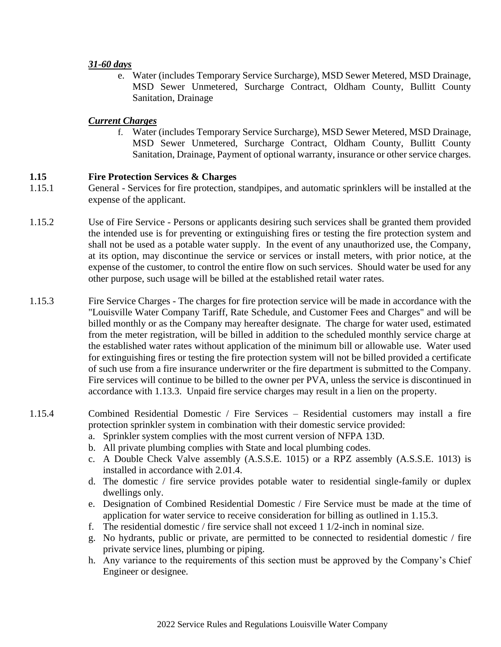#### *31-60 days*

e. Water (includes Temporary Service Surcharge), MSD Sewer Metered, MSD Drainage, MSD Sewer Unmetered, Surcharge Contract, Oldham County, Bullitt County Sanitation, Drainage

## *Current Charges*

f. Water (includes Temporary Service Surcharge), MSD Sewer Metered, MSD Drainage, MSD Sewer Unmetered, Surcharge Contract, Oldham County, Bullitt County Sanitation, Drainage, Payment of optional warranty, insurance or other service charges.

## **1.15 Fire Protection Services & Charges**

- 1.15.1 General Services for fire protection, standpipes, and automatic sprinklers will be installed at the expense of the applicant.
- 1.15.2 Use of Fire Service Persons or applicants desiring such services shall be granted them provided the intended use is for preventing or extinguishing fires or testing the fire protection system and shall not be used as a potable water supply. In the event of any unauthorized use, the Company, at its option, may discontinue the service or services or install meters, with prior notice, at the expense of the customer, to control the entire flow on such services. Should water be used for any other purpose, such usage will be billed at the established retail water rates.
- 1.15.3 Fire Service Charges The charges for fire protection service will be made in accordance with the "Louisville Water Company Tariff, Rate Schedule, and Customer Fees and Charges" and will be billed monthly or as the Company may hereafter designate. The charge for water used, estimated from the meter registration, will be billed in addition to the scheduled monthly service charge at the established water rates without application of the minimum bill or allowable use. Water used for extinguishing fires or testing the fire protection system will not be billed provided a certificate of such use from a fire insurance underwriter or the fire department is submitted to the Company. Fire services will continue to be billed to the owner per PVA, unless the service is discontinued in accordance with 1.13.3. Unpaid fire service charges may result in a lien on the property.
- 1.15.4 Combined Residential Domestic / Fire Services Residential customers may install a fire protection sprinkler system in combination with their domestic service provided:
	- a. Sprinkler system complies with the most current version of NFPA 13D.
	- b. All private plumbing complies with State and local plumbing codes.
	- c. A Double Check Valve assembly (A.S.S.E. 1015) or a RPZ assembly (A.S.S.E. 1013) is installed in accordance with 2.01.4.
	- d. The domestic / fire service provides potable water to residential single-family or duplex dwellings only.
	- e. Designation of Combined Residential Domestic / Fire Service must be made at the time of application for water service to receive consideration for billing as outlined in 1.15.3.
	- f. The residential domestic / fire service shall not exceed  $1/2$ -inch in nominal size.
	- g. No hydrants, public or private, are permitted to be connected to residential domestic / fire private service lines, plumbing or piping.
	- h. Any variance to the requirements of this section must be approved by the Company's Chief Engineer or designee.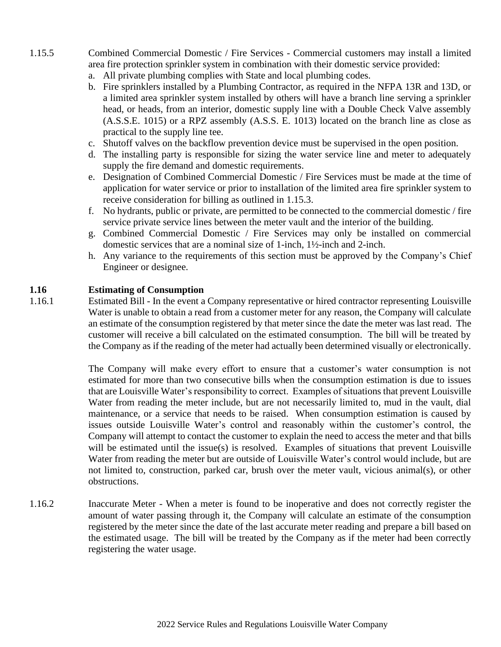- 1.15.5 Combined Commercial Domestic / Fire Services Commercial customers may install a limited area fire protection sprinkler system in combination with their domestic service provided:
	- a. All private plumbing complies with State and local plumbing codes.
	- b. Fire sprinklers installed by a Plumbing Contractor, as required in the NFPA 13R and 13D, or a limited area sprinkler system installed by others will have a branch line serving a sprinkler head, or heads, from an interior, domestic supply line with a Double Check Valve assembly (A.S.S.E. 1015) or a RPZ assembly (A.S.S. E. 1013) located on the branch line as close as practical to the supply line tee.
	- c. Shutoff valves on the backflow prevention device must be supervised in the open position.
	- d. The installing party is responsible for sizing the water service line and meter to adequately supply the fire demand and domestic requirements.
	- e. Designation of Combined Commercial Domestic / Fire Services must be made at the time of application for water service or prior to installation of the limited area fire sprinkler system to receive consideration for billing as outlined in 1.15.3.
	- f. No hydrants, public or private, are permitted to be connected to the commercial domestic / fire service private service lines between the meter vault and the interior of the building.
	- g. Combined Commercial Domestic / Fire Services may only be installed on commercial domestic services that are a nominal size of 1-inch, 1½-inch and 2-inch.
	- h. Any variance to the requirements of this section must be approved by the Company's Chief Engineer or designee.

## **1.16 Estimating of Consumption**

1.16.1 Estimated Bill - In the event a Company representative or hired contractor representing Louisville Water is unable to obtain a read from a customer meter for any reason, the Company will calculate an estimate of the consumption registered by that meter since the date the meter was last read. The customer will receive a bill calculated on the estimated consumption. The bill will be treated by the Company as if the reading of the meter had actually been determined visually or electronically.

> The Company will make every effort to ensure that a customer's water consumption is not estimated for more than two consecutive bills when the consumption estimation is due to issues that are Louisville Water's responsibility to correct. Examples of situations that prevent Louisville Water from reading the meter include, but are not necessarily limited to, mud in the vault, dial maintenance, or a service that needs to be raised. When consumption estimation is caused by issues outside Louisville Water's control and reasonably within the customer's control, the Company will attempt to contact the customer to explain the need to access the meter and that bills will be estimated until the issue(s) is resolved. Examples of situations that prevent Louisville Water from reading the meter but are outside of Louisville Water's control would include, but are not limited to, construction, parked car, brush over the meter vault, vicious animal(s), or other obstructions.

1.16.2 Inaccurate Meter - When a meter is found to be inoperative and does not correctly register the amount of water passing through it, the Company will calculate an estimate of the consumption registered by the meter since the date of the last accurate meter reading and prepare a bill based on the estimated usage. The bill will be treated by the Company as if the meter had been correctly registering the water usage.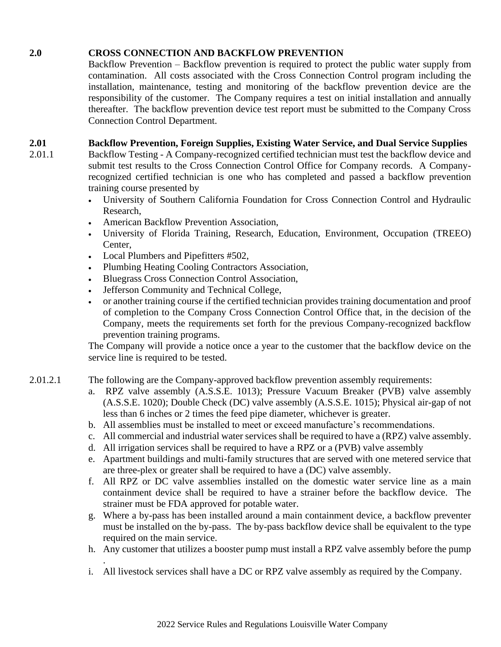## **2.0 CROSS CONNECTION AND BACKFLOW PREVENTION**

Backflow Prevention – Backflow prevention is required to protect the public water supply from contamination. All costs associated with the Cross Connection Control program including the installation, maintenance, testing and monitoring of the backflow prevention device are the responsibility of the customer. The Company requires a test on initial installation and annually thereafter. The backflow prevention device test report must be submitted to the Company Cross Connection Control Department.

## **2.01 Backflow Prevention, Foreign Supplies, Existing Water Service, and Dual Service Supplies**

- 2.01.1 Backflow Testing A Company-recognized certified technician must test the backflow device and submit test results to the Cross Connection Control Office for Company records. A Companyrecognized certified technician is one who has completed and passed a backflow prevention training course presented by
	- University of Southern California Foundation for Cross Connection Control and Hydraulic Research,
	- American Backflow Prevention Association,
	- University of Florida Training, Research, Education, Environment, Occupation (TREEO) Center,
	- Local Plumbers and Pipefitters #502,
	- Plumbing Heating Cooling Contractors Association,
	- Bluegrass Cross Connection Control Association,
	- Jefferson Community and Technical College,
	- or another training course if the certified technician provides training documentation and proof of completion to the Company Cross Connection Control Office that, in the decision of the Company, meets the requirements set forth for the previous Company-recognized backflow prevention training programs.

The Company will provide a notice once a year to the customer that the backflow device on the service line is required to be tested.

- 2.01.2.1 The following are the Company-approved backflow prevention assembly requirements:
	- a. RPZ valve assembly (A.S.S.E. 1013); Pressure Vacuum Breaker (PVB) valve assembly (A.S.S.E. 1020); Double Check (DC) valve assembly (A.S.S.E. 1015); Physical air-gap of not less than 6 inches or 2 times the feed pipe diameter, whichever is greater.
	- b. All assemblies must be installed to meet or exceed manufacture's recommendations.
	- c. All commercial and industrial water services shall be required to have a (RPZ) valve assembly.
	- d. All irrigation services shall be required to have a RPZ or a (PVB) valve assembly
	- e. Apartment buildings and multi-family structures that are served with one metered service that are three-plex or greater shall be required to have a (DC) valve assembly.
	- f. All RPZ or DC valve assemblies installed on the domestic water service line as a main containment device shall be required to have a strainer before the backflow device. The strainer must be FDA approved for potable water.
	- g. Where a by-pass has been installed around a main containment device, a backflow preventer must be installed on the by-pass. The by-pass backflow device shall be equivalent to the type required on the main service.
	- h. Any customer that utilizes a booster pump must install a RPZ valve assembly before the pump
	- . i. All livestock services shall have a DC or RPZ valve assembly as required by the Company.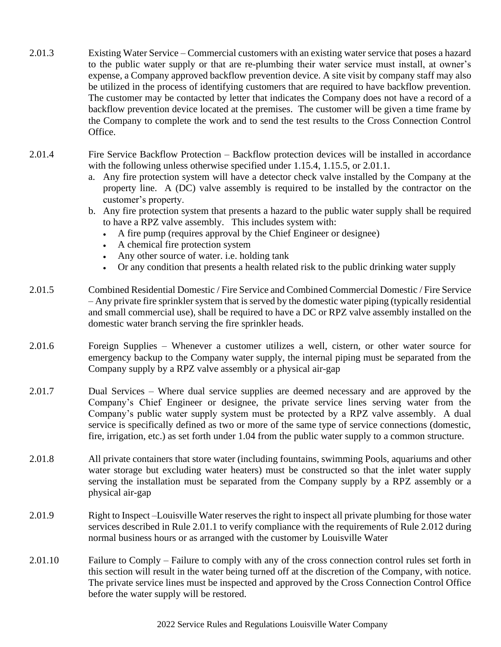- 2.01.3 Existing Water Service Commercial customers with an existing water service that poses a hazard to the public water supply or that are re-plumbing their water service must install, at owner's expense, a Company approved backflow prevention device. A site visit by company staff may also be utilized in the process of identifying customers that are required to have backflow prevention. The customer may be contacted by letter that indicates the Company does not have a record of a backflow prevention device located at the premises. The customer will be given a time frame by the Company to complete the work and to send the test results to the Cross Connection Control Office.
- 2.01.4 Fire Service Backflow Protection Backflow protection devices will be installed in accordance with the following unless otherwise specified under 1.15.4, 1.15.5, or 2.01.1.
	- a. Any fire protection system will have a detector check valve installed by the Company at the property line. A (DC) valve assembly is required to be installed by the contractor on the customer's property.
	- b. Any fire protection system that presents a hazard to the public water supply shall be required to have a RPZ valve assembly. This includes system with:
		- A fire pump (requires approval by the Chief Engineer or designee)
		- A chemical fire protection system
		- Any other source of water. i.e. holding tank
		- Or any condition that presents a health related risk to the public drinking water supply
- 2.01.5 Combined Residential Domestic / Fire Service and Combined Commercial Domestic / Fire Service – Any private fire sprinkler system that is served by the domestic water piping (typically residential and small commercial use), shall be required to have a DC or RPZ valve assembly installed on the domestic water branch serving the fire sprinkler heads.
- 2.01.6 Foreign Supplies Whenever a customer utilizes a well, cistern, or other water source for emergency backup to the Company water supply, the internal piping must be separated from the Company supply by a RPZ valve assembly or a physical air-gap
- 2.01.7 Dual Services Where dual service supplies are deemed necessary and are approved by the Company's Chief Engineer or designee, the private service lines serving water from the Company's public water supply system must be protected by a RPZ valve assembly. A dual service is specifically defined as two or more of the same type of service connections (domestic, fire, irrigation, etc.) as set forth under 1.04 from the public water supply to a common structure.
- 2.01.8 All private containers that store water (including fountains, swimming Pools, aquariums and other water storage but excluding water heaters) must be constructed so that the inlet water supply serving the installation must be separated from the Company supply by a RPZ assembly or a physical air-gap
- 2.01.9 Right to Inspect –Louisville Water reserves the right to inspect all private plumbing for those water services described in Rule 2.01.1 to verify compliance with the requirements of Rule 2.012 during normal business hours or as arranged with the customer by Louisville Water
- 2.01.10 Failure to Comply Failure to comply with any of the cross connection control rules set forth in this section will result in the water being turned off at the discretion of the Company, with notice. The private service lines must be inspected and approved by the Cross Connection Control Office before the water supply will be restored.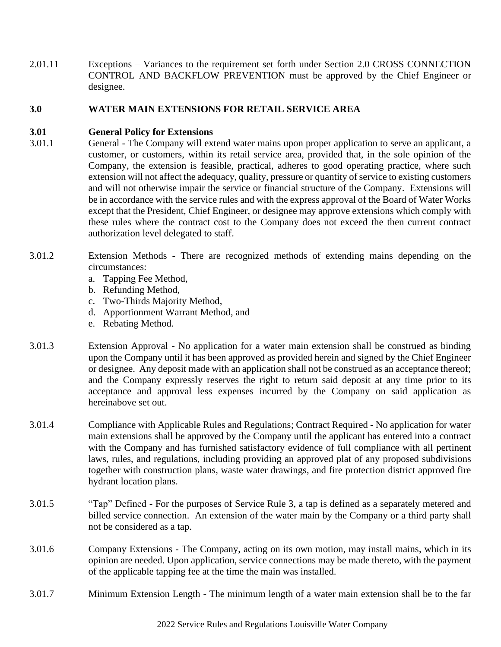2.01.11 Exceptions – Variances to the requirement set forth under Section 2.0 CROSS CONNECTION CONTROL AND BACKFLOW PREVENTION must be approved by the Chief Engineer or designee.

## **3.0 WATER MAIN EXTENSIONS FOR RETAIL SERVICE AREA**

#### **3.01 General Policy for Extensions**

- 3.01.1 General The Company will extend water mains upon proper application to serve an applicant, a customer, or customers, within its retail service area, provided that, in the sole opinion of the Company, the extension is feasible, practical, adheres to good operating practice, where such extension will not affect the adequacy, quality, pressure or quantity of service to existing customers and will not otherwise impair the service or financial structure of the Company. Extensions will be in accordance with the service rules and with the express approval of the Board of Water Works except that the President, Chief Engineer, or designee may approve extensions which comply with these rules where the contract cost to the Company does not exceed the then current contract authorization level delegated to staff.
- 3.01.2 Extension Methods There are recognized methods of extending mains depending on the circumstances:
	- a. Tapping Fee Method,
	- b. Refunding Method,
	- c. Two-Thirds Majority Method,
	- d. Apportionment Warrant Method, and
	- e. Rebating Method.
- 3.01.3 Extension Approval No application for a water main extension shall be construed as binding upon the Company until it has been approved as provided herein and signed by the Chief Engineer or designee. Any deposit made with an application shall not be construed as an acceptance thereof; and the Company expressly reserves the right to return said deposit at any time prior to its acceptance and approval less expenses incurred by the Company on said application as hereinabove set out.
- 3.01.4 Compliance with Applicable Rules and Regulations; Contract Required No application for water main extensions shall be approved by the Company until the applicant has entered into a contract with the Company and has furnished satisfactory evidence of full compliance with all pertinent laws, rules, and regulations, including providing an approved plat of any proposed subdivisions together with construction plans, waste water drawings, and fire protection district approved fire hydrant location plans.
- 3.01.5 "Tap" Defined For the purposes of Service Rule 3, a tap is defined as a separately metered and billed service connection. An extension of the water main by the Company or a third party shall not be considered as a tap.
- 3.01.6 Company Extensions The Company, acting on its own motion, may install mains, which in its opinion are needed. Upon application, service connections may be made thereto, with the payment of the applicable tapping fee at the time the main was installed.
- 3.01.7 Minimum Extension Length The minimum length of a water main extension shall be to the far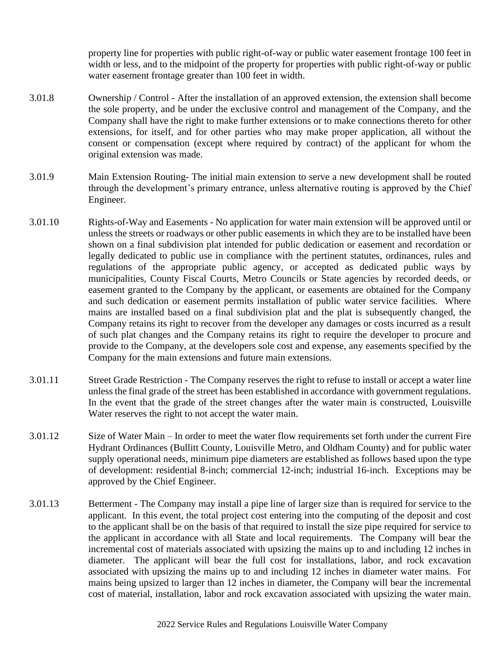property line for properties with public right-of-way or public water easement frontage 100 feet in width or less, and to the midpoint of the property for properties with public right-of-way or public water easement frontage greater than 100 feet in width.

- 3.01.8 Ownership / Control After the installation of an approved extension, the extension shall become the sole property, and be under the exclusive control and management of the Company, and the Company shall have the right to make further extensions or to make connections thereto for other extensions, for itself, and for other parties who may make proper application, all without the consent or compensation (except where required by contract) of the applicant for whom the original extension was made.
- 3.01.9 Main Extension Routing- The initial main extension to serve a new development shall be routed through the development's primary entrance, unless alternative routing is approved by the Chief Engineer.
- 3.01.10 Rights-of-Way and Easements No application for water main extension will be approved until or unless the streets or roadways or other public easements in which they are to be installed have been shown on a final subdivision plat intended for public dedication or easement and recordation or legally dedicated to public use in compliance with the pertinent statutes, ordinances, rules and regulations of the appropriate public agency, or accepted as dedicated public ways by municipalities, County Fiscal Courts, Metro Councils or State agencies by recorded deeds, or easement granted to the Company by the applicant, or easements are obtained for the Company and such dedication or easement permits installation of public water service facilities. Where mains are installed based on a final subdivision plat and the plat is subsequently changed, the Company retains its right to recover from the developer any damages or costs incurred as a result of such plat changes and the Company retains its right to require the developer to procure and provide to the Company, at the developers sole cost and expense, any easements specified by the Company for the main extensions and future main extensions.
- 3.01.11 Street Grade Restriction The Company reserves the right to refuse to install or accept a water line unless the final grade of the street has been established in accordance with government regulations. In the event that the grade of the street changes after the water main is constructed, Louisville Water reserves the right to not accept the water main.
- 3.01.12 Size of Water Main In order to meet the water flow requirements set forth under the current Fire Hydrant Ordinances (Bullitt County, Louisville Metro, and Oldham County) and for public water supply operational needs, minimum pipe diameters are established as follows based upon the type of development: residential 8-inch; commercial 12-inch; industrial 16-inch. Exceptions may be approved by the Chief Engineer.
- 3.01.13 Betterment The Company may install a pipe line of larger size than is required for service to the applicant. In this event, the total project cost entering into the computing of the deposit and cost to the applicant shall be on the basis of that required to install the size pipe required for service to the applicant in accordance with all State and local requirements. The Company will bear the incremental cost of materials associated with upsizing the mains up to and including 12 inches in diameter. The applicant will bear the full cost for installations, labor, and rock excavation associated with upsizing the mains up to and including 12 inches in diameter water mains. For mains being upsized to larger than 12 inches in diameter, the Company will bear the incremental cost of material, installation, labor and rock excavation associated with upsizing the water main.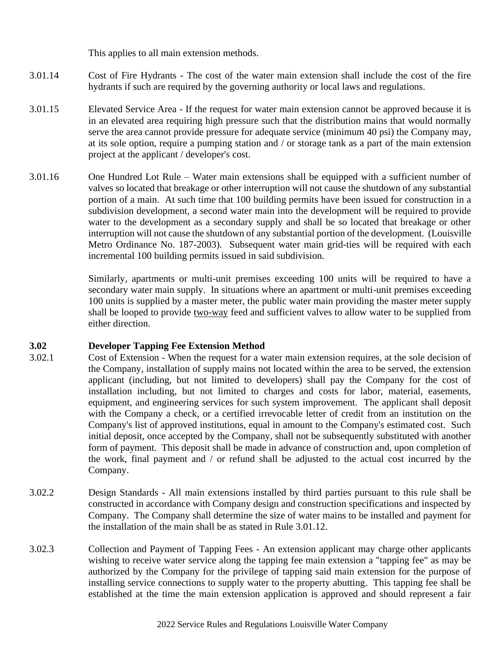This applies to all main extension methods.

- 3.01.14 Cost of Fire Hydrants The cost of the water main extension shall include the cost of the fire hydrants if such are required by the governing authority or local laws and regulations.
- 3.01.15 Elevated Service Area If the request for water main extension cannot be approved because it is in an elevated area requiring high pressure such that the distribution mains that would normally serve the area cannot provide pressure for adequate service (minimum 40 psi) the Company may, at its sole option, require a pumping station and / or storage tank as a part of the main extension project at the applicant / developer's cost.
- 3.01.16 One Hundred Lot Rule Water main extensions shall be equipped with a sufficient number of valves so located that breakage or other interruption will not cause the shutdown of any substantial portion of a main. At such time that 100 building permits have been issued for construction in a subdivision development, a second water main into the development will be required to provide water to the development as a secondary supply and shall be so located that breakage or other interruption will not cause the shutdown of any substantial portion of the development. (Louisville Metro Ordinance No. 187-2003). Subsequent water main grid-ties will be required with each incremental 100 building permits issued in said subdivision.

Similarly, apartments or multi-unit premises exceeding 100 units will be required to have a secondary water main supply. In situations where an apartment or multi-unit premises exceeding 100 units is supplied by a master meter, the public water main providing the master meter supply shall be looped to provide two-way feed and sufficient valves to allow water to be supplied from either direction.

## **3.02 Developer Tapping Fee Extension Method**

- 3.02.1 Cost of Extension When the request for a water main extension requires, at the sole decision of the Company, installation of supply mains not located within the area to be served, the extension applicant (including, but not limited to developers) shall pay the Company for the cost of installation including, but not limited to charges and costs for labor, material, easements, equipment, and engineering services for such system improvement. The applicant shall deposit with the Company a check, or a certified irrevocable letter of credit from an institution on the Company's list of approved institutions, equal in amount to the Company's estimated cost. Such initial deposit, once accepted by the Company, shall not be subsequently substituted with another form of payment. This deposit shall be made in advance of construction and, upon completion of the work, final payment and / or refund shall be adjusted to the actual cost incurred by the Company.
- 3.02.2 Design Standards All main extensions installed by third parties pursuant to this rule shall be constructed in accordance with Company design and construction specifications and inspected by Company. The Company shall determine the size of water mains to be installed and payment for the installation of the main shall be as stated in Rule 3.01.12.
- 3.02.3 Collection and Payment of Tapping Fees An extension applicant may charge other applicants wishing to receive water service along the tapping fee main extension a "tapping fee" as may be authorized by the Company for the privilege of tapping said main extension for the purpose of installing service connections to supply water to the property abutting. This tapping fee shall be established at the time the main extension application is approved and should represent a fair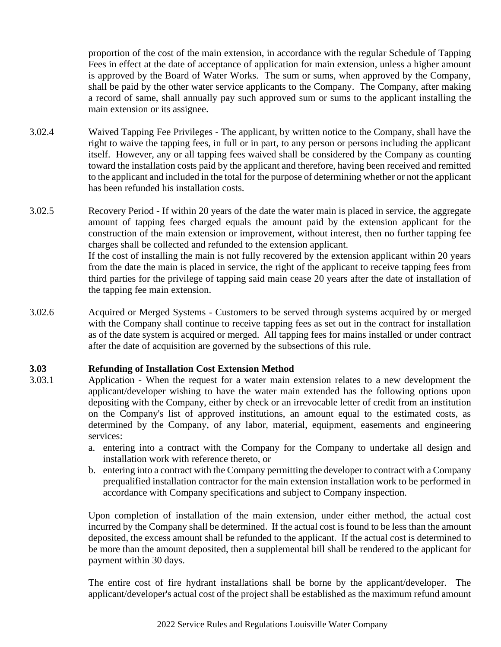proportion of the cost of the main extension, in accordance with the regular Schedule of Tapping Fees in effect at the date of acceptance of application for main extension, unless a higher amount is approved by the Board of Water Works. The sum or sums, when approved by the Company, shall be paid by the other water service applicants to the Company. The Company, after making a record of same, shall annually pay such approved sum or sums to the applicant installing the main extension or its assignee.

- 3.02.4 Waived Tapping Fee Privileges The applicant, by written notice to the Company, shall have the right to waive the tapping fees, in full or in part, to any person or persons including the applicant itself. However, any or all tapping fees waived shall be considered by the Company as counting toward the installation costs paid by the applicant and therefore, having been received and remitted to the applicant and included in the total for the purpose of determining whether or not the applicant has been refunded his installation costs.
- 3.02.5 Recovery Period If within 20 years of the date the water main is placed in service, the aggregate amount of tapping fees charged equals the amount paid by the extension applicant for the construction of the main extension or improvement, without interest, then no further tapping fee charges shall be collected and refunded to the extension applicant. If the cost of installing the main is not fully recovered by the extension applicant within 20 years from the date the main is placed in service, the right of the applicant to receive tapping fees from third parties for the privilege of tapping said main cease 20 years after the date of installation of the tapping fee main extension.
- 3.02.6 Acquired or Merged Systems Customers to be served through systems acquired by or merged with the Company shall continue to receive tapping fees as set out in the contract for installation as of the date system is acquired or merged. All tapping fees for mains installed or under contract after the date of acquisition are governed by the subsections of this rule.

## **3.03 Refunding of Installation Cost Extension Method**

- 3.03.1 Application When the request for a water main extension relates to a new development the applicant/developer wishing to have the water main extended has the following options upon depositing with the Company, either by check or an irrevocable letter of credit from an institution on the Company's list of approved institutions, an amount equal to the estimated costs, as determined by the Company, of any labor, material, equipment, easements and engineering services:
	- a. entering into a contract with the Company for the Company to undertake all design and installation work with reference thereto, or
	- b. entering into a contract with the Company permitting the developer to contract with a Company prequalified installation contractor for the main extension installation work to be performed in accordance with Company specifications and subject to Company inspection.

Upon completion of installation of the main extension, under either method, the actual cost incurred by the Company shall be determined. If the actual cost is found to be less than the amount deposited, the excess amount shall be refunded to the applicant. If the actual cost is determined to be more than the amount deposited, then a supplemental bill shall be rendered to the applicant for payment within 30 days.

The entire cost of fire hydrant installations shall be borne by the applicant/developer. The applicant/developer's actual cost of the project shall be established as the maximum refund amount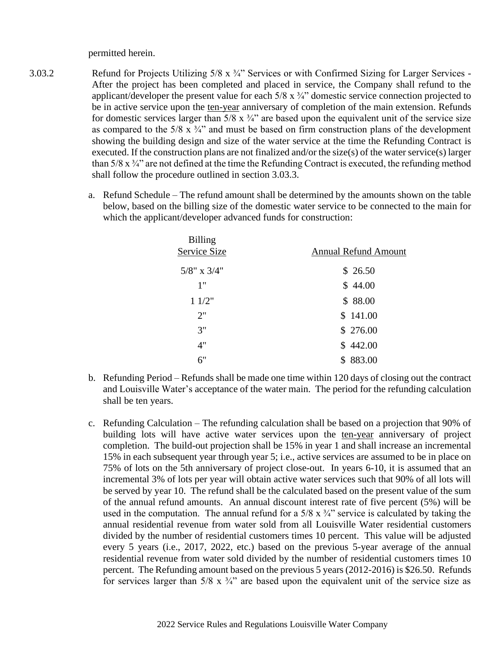permitted herein.

- 3.03.2 Refund for Projects Utilizing 5/8 x ¾" Services or with Confirmed Sizing for Larger Services After the project has been completed and placed in service, the Company shall refund to the applicant/developer the present value for each 5/8 x ¾" domestic service connection projected to be in active service upon the ten-year anniversary of completion of the main extension. Refunds for domestic services larger than  $5/8 \times 3/4$ " are based upon the equivalent unit of the service size as compared to the  $5/8 \times 3/4$ " and must be based on firm construction plans of the development showing the building design and size of the water service at the time the Refunding Contract is executed. If the construction plans are not finalized and/or the size(s) of the water service(s) larger than  $5/8$  x  $\frac{3}{4}$ " are not defined at the time the Refunding Contract is executed, the refunding method shall follow the procedure outlined in section 3.03.3.
	- a. Refund Schedule The refund amount shall be determined by the amounts shown on the table below, based on the billing size of the domestic water service to be connected to the main for which the applicant/developer advanced funds for construction:

| <b>Billing</b>    |                             |
|-------------------|-----------------------------|
| Service Size      | <b>Annual Refund Amount</b> |
| $5/8$ " x $3/4$ " | \$26.50                     |
| 1"                | \$44.00                     |
| 11/2"             | \$88.00                     |
| 2"                | \$141.00                    |
| 3"                | \$276.00                    |
| 4"                | \$442.00                    |
| 6"                | \$883.00                    |

- b. Refunding Period Refunds shall be made one time within 120 days of closing out the contract and Louisville Water's acceptance of the water main. The period for the refunding calculation shall be ten years.
- c. Refunding Calculation The refunding calculation shall be based on a projection that 90% of building lots will have active water services upon the ten-year anniversary of project completion. The build-out projection shall be 15% in year 1 and shall increase an incremental 15% in each subsequent year through year 5; i.e., active services are assumed to be in place on 75% of lots on the 5th anniversary of project close-out. In years 6-10, it is assumed that an incremental 3% of lots per year will obtain active water services such that 90% of all lots will be served by year 10. The refund shall be the calculated based on the present value of the sum of the annual refund amounts. An annual discount interest rate of five percent (5%) will be used in the computation. The annual refund for a  $5/8 \times \frac{3}{4}$  service is calculated by taking the annual residential revenue from water sold from all Louisville Water residential customers divided by the number of residential customers times 10 percent. This value will be adjusted every 5 years (i.e., 2017, 2022, etc.) based on the previous 5-year average of the annual residential revenue from water sold divided by the number of residential customers times 10 percent. The Refunding amount based on the previous 5 years (2012-2016) is \$26.50. Refunds for services larger than  $5/8 \times 3/4$ " are based upon the equivalent unit of the service size as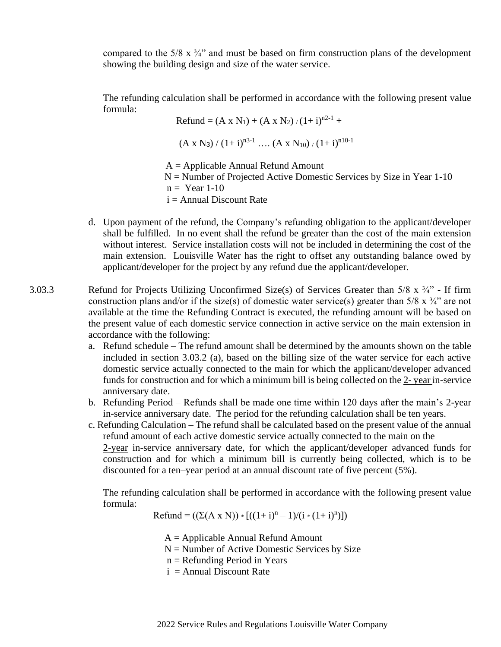compared to the  $5/8 \times 3/4$ " and must be based on firm construction plans of the development showing the building design and size of the water service.

The refunding calculation shall be performed in accordance with the following present value formula:

> Refund =  $(A \times N_1) + (A \times N_2)/(1+i)^{n^2-1}$  +  $(A \times N_3) / (1+i)^{n3-1}$  ….  $(A \times N_{10}) / (1+i)^{n10-1}$  $A =$  Applicable Annual Refund Amount  $N =$  Number of Projected Active Domestic Services by Size in Year 1-10  $n = \text{Year } 1-10$  $i =$  Annual Discount Rate

- d. Upon payment of the refund, the Company's refunding obligation to the applicant/developer shall be fulfilled. In no event shall the refund be greater than the cost of the main extension without interest. Service installation costs will not be included in determining the cost of the main extension. Louisville Water has the right to offset any outstanding balance owed by applicant/developer for the project by any refund due the applicant/developer.
- 3.03.3 Refund for Projects Utilizing Unconfirmed Size(s) of Services Greater than 5/8 x ¾" If firm construction plans and/or if the size(s) of domestic water service(s) greater than  $5/8 \times 3/4$ " are not available at the time the Refunding Contract is executed, the refunding amount will be based on the present value of each domestic service connection in active service on the main extension in accordance with the following:
	- a. Refund schedule The refund amount shall be determined by the amounts shown on the table included in section 3.03.2 (a), based on the billing size of the water service for each active domestic service actually connected to the main for which the applicant/developer advanced funds for construction and for which a minimum bill is being collected on the 2- year in-service anniversary date.
	- b. Refunding Period Refunds shall be made one time within 120 days after the main's 2-year in-service anniversary date. The period for the refunding calculation shall be ten years.
	- c. Refunding Calculation The refund shall be calculated based on the present value of the annual refund amount of each active domestic service actually connected to the main on the 2-year in-service anniversary date, for which the applicant/developer advanced funds for construction and for which a minimum bill is currently being collected, which is to be

The refunding calculation shall be performed in accordance with the following present value formula:

 $\text{Refund} = ((\Sigma(A \times N)) * [((1 + i)^n - 1)/(i * (1 + i)^n)])$ 

 $A =$  Applicable Annual Refund Amount

 $N =$  Number of Active Domestic Services by Size

discounted for a ten–year period at an annual discount rate of five percent (5%).

- n = Refunding Period in Years
- $i =$  Annual Discount Rate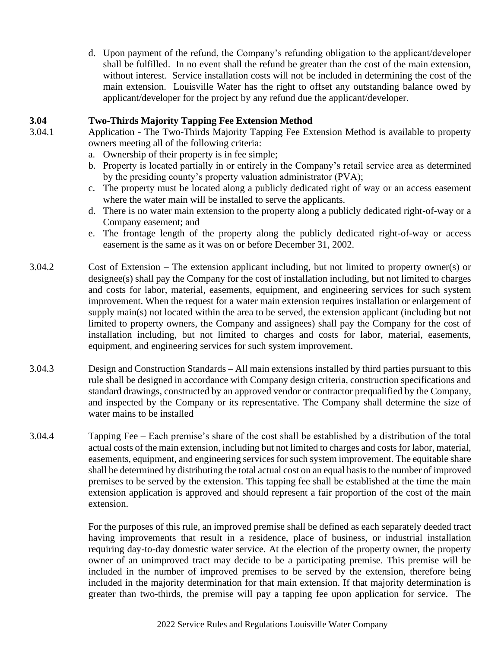d. Upon payment of the refund, the Company's refunding obligation to the applicant/developer shall be fulfilled. In no event shall the refund be greater than the cost of the main extension, without interest. Service installation costs will not be included in determining the cost of the main extension. Louisville Water has the right to offset any outstanding balance owed by applicant/developer for the project by any refund due the applicant/developer.

## **3.04 Two-Thirds Majority Tapping Fee Extension Method**

- 
- 3.04.1 Application The Two-Thirds Majority Tapping Fee Extension Method is available to property owners meeting all of the following criteria:
	- a. Ownership of their property is in fee simple;
	- b. Property is located partially in or entirely in the Company's retail service area as determined by the presiding county's property valuation administrator (PVA);
	- c. The property must be located along a publicly dedicated right of way or an access easement where the water main will be installed to serve the applicants.
	- d. There is no water main extension to the property along a publicly dedicated right-of-way or a Company easement; and
	- e. The frontage length of the property along the publicly dedicated right-of-way or access easement is the same as it was on or before December 31, 2002.
- 3.04.2 Cost of Extension The extension applicant including, but not limited to property owner(s) or designee(s) shall pay the Company for the cost of installation including, but not limited to charges and costs for labor, material, easements, equipment, and engineering services for such system improvement. When the request for a water main extension requires installation or enlargement of supply main(s) not located within the area to be served, the extension applicant (including but not limited to property owners, the Company and assignees) shall pay the Company for the cost of installation including, but not limited to charges and costs for labor, material, easements, equipment, and engineering services for such system improvement.
- 3.04.3 Design and Construction Standards All main extensions installed by third parties pursuant to this rule shall be designed in accordance with Company design criteria, construction specifications and standard drawings, constructed by an approved vendor or contractor prequalified by the Company, and inspected by the Company or its representative. The Company shall determine the size of water mains to be installed
- 3.04.4 Tapping Fee Each premise's share of the cost shall be established by a distribution of the total actual costs of the main extension, including but not limited to charges and costs for labor, material, easements, equipment, and engineering services for such system improvement. The equitable share shall be determined by distributing the total actual cost on an equal basis to the number of improved premises to be served by the extension. This tapping fee shall be established at the time the main extension application is approved and should represent a fair proportion of the cost of the main extension.

For the purposes of this rule, an improved premise shall be defined as each separately deeded tract having improvements that result in a residence, place of business, or industrial installation requiring day-to-day domestic water service. At the election of the property owner, the property owner of an unimproved tract may decide to be a participating premise. This premise will be included in the number of improved premises to be served by the extension, therefore being included in the majority determination for that main extension. If that majority determination is greater than two-thirds, the premise will pay a tapping fee upon application for service. The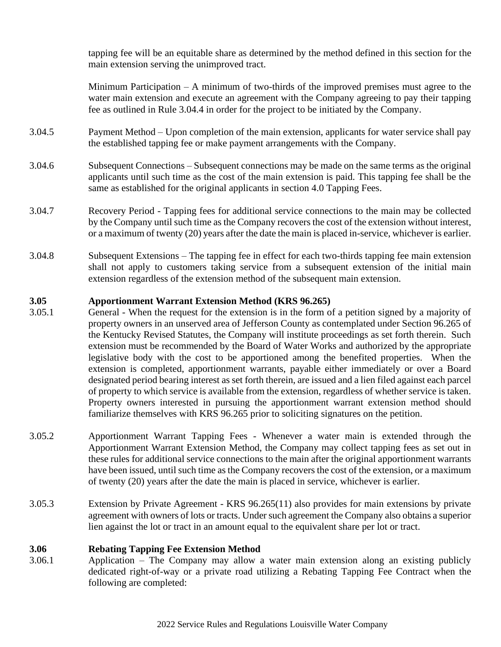tapping fee will be an equitable share as determined by the method defined in this section for the main extension serving the unimproved tract.

Minimum Participation – A minimum of two-thirds of the improved premises must agree to the water main extension and execute an agreement with the Company agreeing to pay their tapping fee as outlined in Rule 3.04.4 in order for the project to be initiated by the Company.

- 3.04.5 Payment Method Upon completion of the main extension, applicants for water service shall pay the established tapping fee or make payment arrangements with the Company.
- 3.04.6 Subsequent Connections Subsequent connections may be made on the same terms as the original applicants until such time as the cost of the main extension is paid. This tapping fee shall be the same as established for the original applicants in section 4.0 Tapping Fees.
- 3.04.7 Recovery Period Tapping fees for additional service connections to the main may be collected by the Company until such time as the Company recovers the cost of the extension without interest, or a maximum of twenty (20) years after the date the main is placed in-service, whichever is earlier.
- 3.04.8 Subsequent Extensions The tapping fee in effect for each two-thirds tapping fee main extension shall not apply to customers taking service from a subsequent extension of the initial main extension regardless of the extension method of the subsequent main extension.

## **3.05 Apportionment Warrant Extension Method (KRS 96.265)**

- 3.05.1 General When the request for the extension is in the form of a petition signed by a majority of property owners in an unserved area of Jefferson County as contemplated under Section 96.265 of the Kentucky Revised Statutes, the Company will institute proceedings as set forth therein. Such extension must be recommended by the Board of Water Works and authorized by the appropriate legislative body with the cost to be apportioned among the benefited properties. When the extension is completed, apportionment warrants, payable either immediately or over a Board designated period bearing interest as set forth therein, are issued and a lien filed against each parcel of property to which service is available from the extension, regardless of whether service is taken. Property owners interested in pursuing the apportionment warrant extension method should familiarize themselves with KRS 96.265 prior to soliciting signatures on the petition.
- 3.05.2 Apportionment Warrant Tapping Fees Whenever a water main is extended through the Apportionment Warrant Extension Method, the Company may collect tapping fees as set out in these rules for additional service connections to the main after the original apportionment warrants have been issued, until such time as the Company recovers the cost of the extension, or a maximum of twenty (20) years after the date the main is placed in service, whichever is earlier.
- 3.05.3 Extension by Private Agreement KRS 96.265(11) also provides for main extensions by private agreement with owners of lots or tracts. Under such agreement the Company also obtains a superior lien against the lot or tract in an amount equal to the equivalent share per lot or tract.

#### **3.06 Rebating Tapping Fee Extension Method**

3.06.1 Application – The Company may allow a water main extension along an existing publicly dedicated right-of-way or a private road utilizing a Rebating Tapping Fee Contract when the following are completed: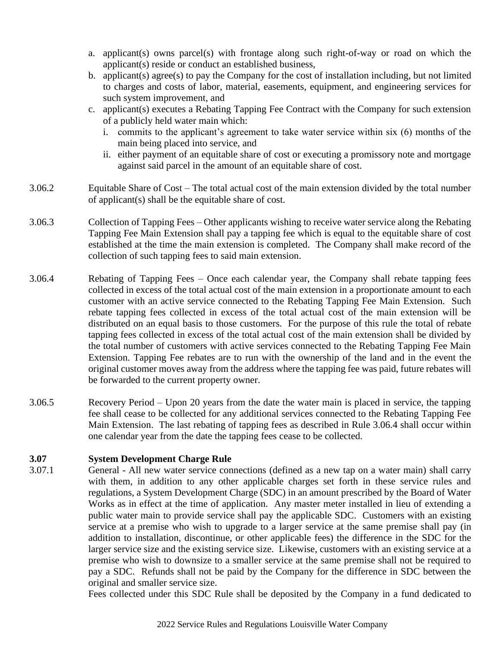- a. applicant(s) owns parcel(s) with frontage along such right-of-way or road on which the applicant(s) reside or conduct an established business,
- b. applicant(s) agree(s) to pay the Company for the cost of installation including, but not limited to charges and costs of labor, material, easements, equipment, and engineering services for such system improvement, and
- c. applicant(s) executes a Rebating Tapping Fee Contract with the Company for such extension of a publicly held water main which:
	- i. commits to the applicant's agreement to take water service within six (6) months of the main being placed into service, and
	- ii. either payment of an equitable share of cost or executing a promissory note and mortgage against said parcel in the amount of an equitable share of cost.
- 3.06.2 Equitable Share of Cost The total actual cost of the main extension divided by the total number of applicant(s) shall be the equitable share of cost.
- 3.06.3 Collection of Tapping Fees Other applicants wishing to receive water service along the Rebating Tapping Fee Main Extension shall pay a tapping fee which is equal to the equitable share of cost established at the time the main extension is completed. The Company shall make record of the collection of such tapping fees to said main extension.
- 3.06.4 Rebating of Tapping Fees Once each calendar year, the Company shall rebate tapping fees collected in excess of the total actual cost of the main extension in a proportionate amount to each customer with an active service connected to the Rebating Tapping Fee Main Extension. Such rebate tapping fees collected in excess of the total actual cost of the main extension will be distributed on an equal basis to those customers. For the purpose of this rule the total of rebate tapping fees collected in excess of the total actual cost of the main extension shall be divided by the total number of customers with active services connected to the Rebating Tapping Fee Main Extension. Tapping Fee rebates are to run with the ownership of the land and in the event the original customer moves away from the address where the tapping fee was paid, future rebates will be forwarded to the current property owner.
- 3.06.5 Recovery Period Upon 20 years from the date the water main is placed in service, the tapping fee shall cease to be collected for any additional services connected to the Rebating Tapping Fee Main Extension. The last rebating of tapping fees as described in Rule 3.06.4 shall occur within one calendar year from the date the tapping fees cease to be collected.

## **3.07 System Development Charge Rule**

3.07.1 General - All new water service connections (defined as a new tap on a water main) shall carry with them, in addition to any other applicable charges set forth in these service rules and regulations, a System Development Charge (SDC) in an amount prescribed by the Board of Water Works as in effect at the time of application. Any master meter installed in lieu of extending a public water main to provide service shall pay the applicable SDC. Customers with an existing service at a premise who wish to upgrade to a larger service at the same premise shall pay (in addition to installation, discontinue, or other applicable fees) the difference in the SDC for the larger service size and the existing service size. Likewise, customers with an existing service at a premise who wish to downsize to a smaller service at the same premise shall not be required to pay a SDC. Refunds shall not be paid by the Company for the difference in SDC between the original and smaller service size.

Fees collected under this SDC Rule shall be deposited by the Company in a fund dedicated to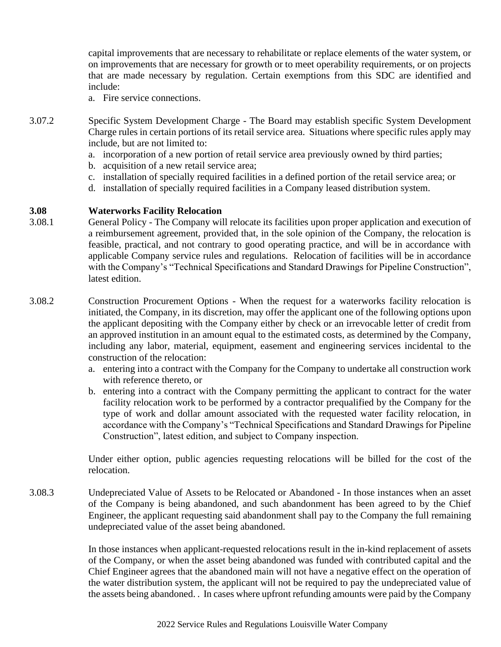capital improvements that are necessary to rehabilitate or replace elements of the water system, or on improvements that are necessary for growth or to meet operability requirements, or on projects that are made necessary by regulation. Certain exemptions from this SDC are identified and include:

- a. Fire service connections.
- 3.07.2 Specific System Development Charge The Board may establish specific System Development Charge rules in certain portions of its retail service area. Situations where specific rules apply may include, but are not limited to:
	- a. incorporation of a new portion of retail service area previously owned by third parties;
	- b. acquisition of a new retail service area;
	- c. installation of specially required facilities in a defined portion of the retail service area; or
	- d. installation of specially required facilities in a Company leased distribution system.

#### **3.08 Waterworks Facility Relocation**

- 3.08.1 General Policy The Company will relocate its facilities upon proper application and execution of a reimbursement agreement, provided that, in the sole opinion of the Company, the relocation is feasible, practical, and not contrary to good operating practice, and will be in accordance with applicable Company service rules and regulations. Relocation of facilities will be in accordance with the Company's "Technical Specifications and Standard Drawings for Pipeline Construction", latest edition.
- 3.08.2 Construction Procurement Options When the request for a waterworks facility relocation is initiated, the Company, in its discretion, may offer the applicant one of the following options upon the applicant depositing with the Company either by check or an irrevocable letter of credit from an approved institution in an amount equal to the estimated costs, as determined by the Company, including any labor, material, equipment, easement and engineering services incidental to the construction of the relocation:
	- a. entering into a contract with the Company for the Company to undertake all construction work with reference thereto, or
	- b. entering into a contract with the Company permitting the applicant to contract for the water facility relocation work to be performed by a contractor prequalified by the Company for the type of work and dollar amount associated with the requested water facility relocation, in accordance with the Company's "Technical Specifications and Standard Drawings for Pipeline Construction", latest edition, and subject to Company inspection.

Under either option, public agencies requesting relocations will be billed for the cost of the relocation.

3.08.3 Undepreciated Value of Assets to be Relocated or Abandoned - In those instances when an asset of the Company is being abandoned, and such abandonment has been agreed to by the Chief Engineer, the applicant requesting said abandonment shall pay to the Company the full remaining undepreciated value of the asset being abandoned.

> In those instances when applicant-requested relocations result in the in-kind replacement of assets of the Company, or when the asset being abandoned was funded with contributed capital and the Chief Engineer agrees that the abandoned main will not have a negative effect on the operation of the water distribution system, the applicant will not be required to pay the undepreciated value of the assets being abandoned. . In cases where upfront refunding amounts were paid by the Company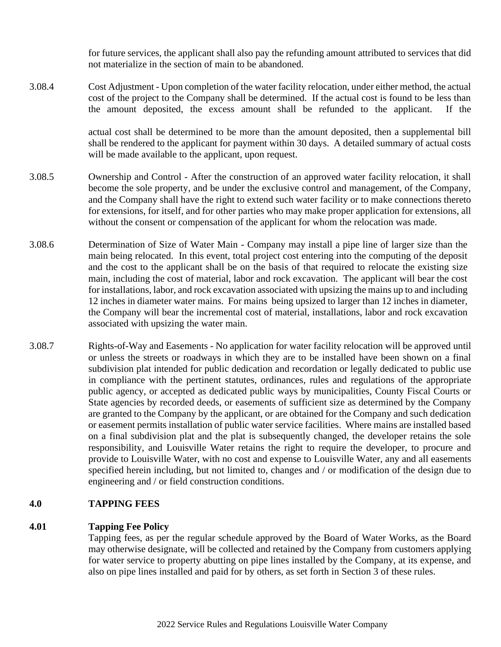for future services, the applicant shall also pay the refunding amount attributed to services that did not materialize in the section of main to be abandoned.

3.08.4 Cost Adjustment - Upon completion of the water facility relocation, under either method, the actual cost of the project to the Company shall be determined. If the actual cost is found to be less than the amount deposited, the excess amount shall be refunded to the applicant. If the

> actual cost shall be determined to be more than the amount deposited, then a supplemental bill shall be rendered to the applicant for payment within 30 days. A detailed summary of actual costs will be made available to the applicant, upon request.

- 3.08.5 Ownership and Control After the construction of an approved water facility relocation, it shall become the sole property, and be under the exclusive control and management, of the Company, and the Company shall have the right to extend such water facility or to make connections thereto for extensions, for itself, and for other parties who may make proper application for extensions, all without the consent or compensation of the applicant for whom the relocation was made.
- 3.08.6 Determination of Size of Water Main Company may install a pipe line of larger size than the main being relocated. In this event, total project cost entering into the computing of the deposit and the cost to the applicant shall be on the basis of that required to relocate the existing size main, including the cost of material, labor and rock excavation. The applicant will bear the cost for installations, labor, and rock excavation associated with upsizing the mains up to and including 12 inches in diameter water mains. For mains being upsized to larger than 12 inches in diameter, the Company will bear the incremental cost of material, installations, labor and rock excavation associated with upsizing the water main.
- 3.08.7 Rights-of-Way and Easements No application for water facility relocation will be approved until or unless the streets or roadways in which they are to be installed have been shown on a final subdivision plat intended for public dedication and recordation or legally dedicated to public use in compliance with the pertinent statutes, ordinances, rules and regulations of the appropriate public agency, or accepted as dedicated public ways by municipalities, County Fiscal Courts or State agencies by recorded deeds, or easements of sufficient size as determined by the Company are granted to the Company by the applicant, or are obtained for the Company and such dedication or easement permits installation of public water service facilities. Where mains are installed based on a final subdivision plat and the plat is subsequently changed, the developer retains the sole responsibility, and Louisville Water retains the right to require the developer, to procure and provide to Louisville Water, with no cost and expense to Louisville Water, any and all easements specified herein including, but not limited to, changes and / or modification of the design due to engineering and / or field construction conditions.

## **4.0 TAPPING FEES**

#### **4.01 Tapping Fee Policy**

Tapping fees, as per the regular schedule approved by the Board of Water Works, as the Board may otherwise designate, will be collected and retained by the Company from customers applying for water service to property abutting on pipe lines installed by the Company, at its expense, and also on pipe lines installed and paid for by others, as set forth in Section 3 of these rules.